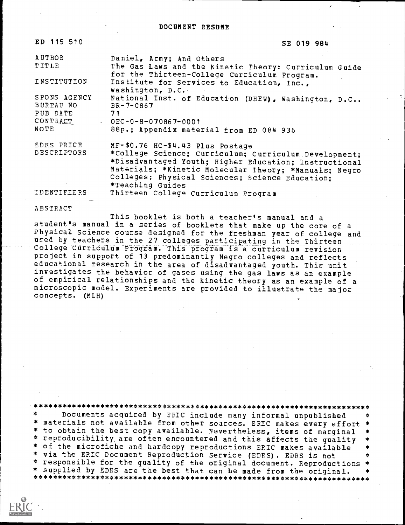ED 115 510 SE 019 984

| <b>AUTHOR</b><br>TITLE                                    | Daniel, Army; And Others<br>The Gas Laws and the Kinetic Theory: Curriculum Guide<br>for the Thirteen-College Curriculum Program.                                                                                                                                                  |
|-----------------------------------------------------------|------------------------------------------------------------------------------------------------------------------------------------------------------------------------------------------------------------------------------------------------------------------------------------|
| INSTITUTION                                               | Institute for Services to Education, Inc.,<br>Washington, D.C.                                                                                                                                                                                                                     |
| SPONS AGENCY<br>BUREAU NO<br>PUB DATE<br>CONTRACT<br>NOTE | - 51<br>National Inst. of Education (DHEW), Washington, D.C<br>$BR - 7 - 0867$<br>71<br>$\cdot$ OEC-0-8-070867-0001<br>88p.; Appendix material from ED 084 936                                                                                                                     |
| EDRS PRICE<br>DESCRIPTORS                                 | MF-\$0.76 HC-\$4.43 Plus Postage<br>*College Science; Curriculum; Curriculum Development;<br>*Disadvantaged Youth; Higher Education; Instructional<br>Materials; *Kinetic Molecular Theory; *Manuals; Negro<br>Colleges; Physical Sciences; Science Education;<br>*Teaching Guides |
| IDENTIFIERS                                               | Thirteen College Curriculum Program                                                                                                                                                                                                                                                |

ABSTRACT

This booklet is both a teacher's manual and <sup>a</sup> student's manual in a series of booklets that make up the core of a Physical Science course designed for the freshman year of college and used by teachers in the 27 colleges participating in the Thirteen College CurriculUm Program. This program is a curriculum revision project in support of 13 predominantly Negro colleges and reflects educational research in the area of disadvantaged youth. This unit investigates the behavior of gases using the gas laws as an example of empirical relationships and the kinetic theory as an example of a microscopic model. Experiments are provided to illustrate the major concepts. (MLH)

.\*\*\*\*\*\*\*\*\*\*\*\*\*\*\*\*\*\*\*\*\*\*\*\*\*\*\*\*\*\*\*\*\*\*\*\*\*\*\*\*\*\*\*\*\*\*\*\*\*\*\*\*\*\*\*\*\*\*\*\*\*\*\*\*\*\*\*\*\*\*\* Documents acquired by ERIC include many informal unpublished \* materials not available from other sources. ERIC makes every effort \* \* to obtain the best copy available. :klvertheless, items of marginal \* \* reproducibility, are often encountered and this affects the quality \* \* of the microfiche and hardcopy reproductions ERIC makes available \* via the ERIC Document Reproduction Service (EDRS). EDRS is not \* responsible for the quality of the original document. Reproductions \*<br>\* supplied by EDRS are the best that can be made from the original. \* \* supplied by EDRS are the best that can be made from the original. \*\*\*\*\*\*\*\*\*\*\*\*\*\*\*\*\*\*\*\*\*\*\*\*\*\*\*\*\*\*\*\*\*\*\*\*\*\*\*\*\*\*\*\*\*\*\*\*\*\*\*\*\*\*\*\*\*\*\*\*\*\*\*\*\*\*\*\*\*\*\*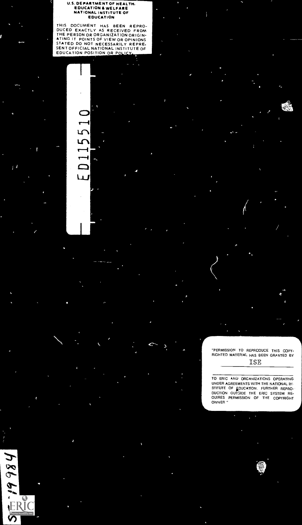### . DEPARTMENT OF HEALTH, EDUCATION& WELFARE NATIONAL INSTITUTE OF EDUCATION

THIS DOCUMENT HAS BEEN REPROMINGED FROM THE PERSON OR GARLETY AT A RECEIVED FROM THE PERSON ORIGINATION ORIGINATION CONTRACT POINTS OF VIEW OR OPINIONS<br>STATED DO NOT NECESSARILY REPRE.<br>SENTOFFICIAL NATIONAL INSTITUTE OF<br>SE

 $ED1155$ 

 $\begin{picture}(150,10) \put(0,0){\line(1,0){10}} \put(10,0){\line(1,0){10}} \put(10,0){\line(1,0){10}} \put(10,0){\line(1,0){10}} \put(10,0){\line(1,0){10}} \put(10,0){\line(1,0){10}} \put(10,0){\line(1,0){10}} \put(10,0){\line(1,0){10}} \put(10,0){\line(1,0){10}} \put(10,0){\line(1,0){10}} \put(10,0){\line(1,0){10}} \put(10,0){\line($ 

18661-

"PERMISSION TO REPRODUCE THIS COPY- RIGHTED MATERIAL HAS BEEN GRANTED BY ISE

TO ERIC ANU ORGANIZATIONS OPERATING UNDER AGREEMENTS WITH THE NATIONAL IN- STITUTE OF FOUCATION. FURTHER REPRO-<br>DUCTION OUTSIDE THE ERIC SYSTEM RE-<br>OUIRES PERMISSION OF THE COPYRIGHT<br>OWNER"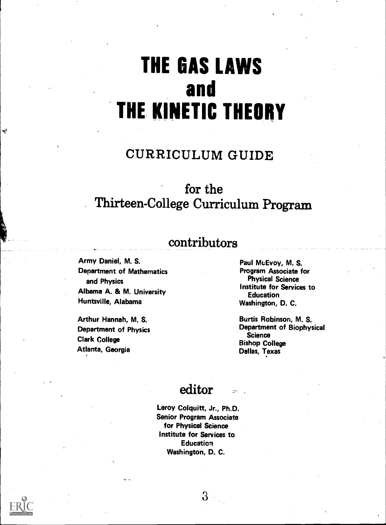# THE GAS LAWS and THE KINETIC THEORY

# CURRICULUM GUIDE

# for the Thirteen-College Curriculum Program

# contributors

Army Daniel, M. S. Department of Mathematics and Physics Albama A. & M. University Huntsville, Alabama

ng)

Arthur Hannah, M. S. Department of Physics Clark College Atlanta, Georgia

Paul McEvoy, M. S. Program Associate for Physical Science Institute for Services to Education Washington, D. C.

Burtis Robinson, M. S. Department of Biophysical **Science** Bishop College Dallas, Texas

### editor

Leroy Colquitt, Jr., Ph.D. Senior Program Associate for Physical Science Institute for Services to **Education** Washington, D. C.

 $3 -$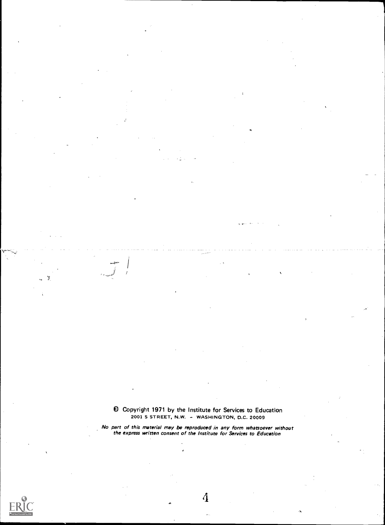el Copyright 1971 by the Institute for Services to Education 2001 S STREET, N.W. - WASHINGTON, D.C. 20009

No part of this material may be reproduced in any form whatsoever without the express written consent of the Institute for Services to Education



 $\widetilde{I}$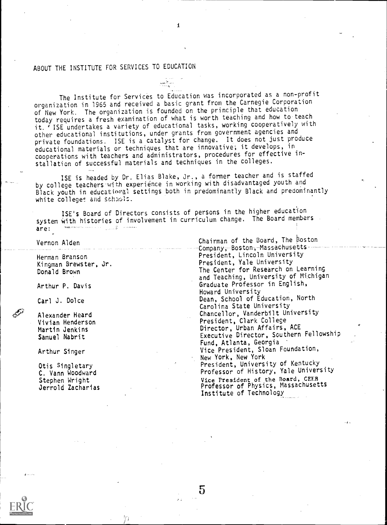### ABOUT THE INSTITUTE FOR SERVICES TO EDUCATION

The Institute for Services to Education was incorporated as a non-profit organization in 1965 and received a basic grant from the Carnegie Corporation of New York. The organization is founded on the principle that education today requires a fresh examination of what is worth teaching and how to teach it. ' ISE undertakes a variety of educational tasks, working cooperatively with other educational institutions, under grants from government agencies and private foundations. ISE is a catalyst for change. It does not just produce educational materials or techniques that are innovative; it develops, in cooperations with teachers and administrators, procedures for effective installation of successful materials and techniques in the colleges.

ISE is headed by Dr. Elias Blake, Jr., a former teacher and is staffed by college teachers with experience in working with disadvantaged youth and Black youth in educational settings both in predominantly Black and predominantly white colleges and schaple.

ISE's Board of Directors consists of persons in the higher education system with histories of involvement in curriculum change. The Board members are:

5

Vernon Alden

Herman Branson Kingman Brewster, Jr. Donald Brown

Arthur P. Davis

Carl J. Dolce

Alexander Heard Vivian Henderson Martin Jenkins Samuel Nabrit

Arthur Singer

Otis Singletary C. Vann Woodward Stephen Wright Jerrold Zacharias Chairman of the Board, The Boston Company, Boston, Massachusetts-President, Lincoln University President, Yale University The Center for Research on Learning and Teaching, University of Michigan Graduate Professor in English, Howard University Dean, School of Education, North Carolina State University Chancellor, Vanderbilt University President, Clark College Director, Urban Affairs, ACE Executive Director, Southern Fellowship Fund, Atlanta, Georgia Vice President, Sloan Foundation, New York, New York President, University of Kentucky Professor of History, Yale University Vice President of the Board, CEEB Professor of Physics, Massachusetts Institute of Technology

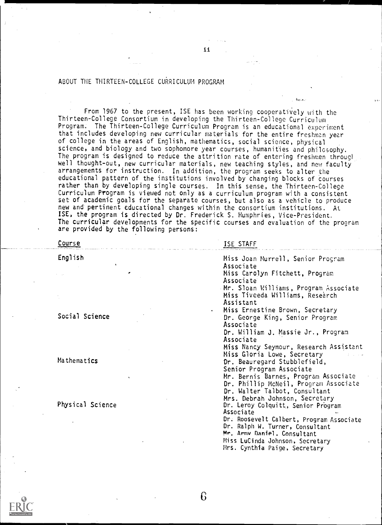#### ABOUT THE THIRTEEN-COLLEGE CURRICULUM PROGRAM

From 1967 to the present, ISE has been working cooperatively with the Thirteen-College Consortium in developing the Thirteen-College Curriculum Program. The Thirteen-College Curriculum Program is an educational experiment that includes developing new curricular materials for the entire freshman year of college in the areas of English, mathematics, social science, physical science, and biology and two sophomore year courses, humanities and philosophy. The program is designed to reduce the attrition rate of entering freshmen through well thought-out, new curricular materials, new teaching styles, and new faculty arrangements for instruction. In addition, the program seeks to alter the educational pattern of the institutions involved by changing blocks of courses rather than by developing single courses. In this sense, the Thirteen-College Curriculum Program is viewed not only as a curriculum program with a consistent set of academic goals for the separate courses, but also as a vehicle to produce new and pertinent educational changes within the consortium institutions. At ISE, the program is directed by Dr. Frederick S. Humphries, Vice-President. The curricular developments for the specific courses and evaluation of the program are provided by the following persons:

| Course             | ISE STAFF                                    |
|--------------------|----------------------------------------------|
| English<br>$\cdot$ | Miss Joan Murrell, Senior Program            |
|                    | Associate                                    |
|                    | Miss Carolyn Fitchett, Program               |
|                    | Associate                                    |
|                    | Mr. Sloan Williams, Program Associate        |
|                    | Miss Tiveeda Williams, Research              |
|                    | Assistant                                    |
|                    | Miss Ernestine Brown, Secretary<br>$\bullet$ |
| Social Science     | Dr. George King, Senior Program              |
|                    | Associate                                    |
|                    | Dr. William J. Massie Jr., Program           |
|                    | Associate                                    |
|                    | Miss Nancy Seymour, Research Assistant       |
|                    | Miss Gloria Lowe, Secretary                  |
| Mathematics        | Dr. Beauregard Stubblefield,                 |
|                    | Senior Program Associate                     |
|                    | Mr. Bernis Barnes, Program Associate         |
|                    | Dr. Phillip McNeil, Program Associate        |
|                    | Dr. Walter Talbot, Consultant                |
|                    | Mrs. Debrah Johnson, Secretary               |
| Physical Science   | Dr. Leroy Colquitt, Senior Program           |
|                    | Associate                                    |
|                    | Dr. Roosevelt Calbert, Program Associate     |
|                    | Dr. Ralph W. Turner, Consultant              |
|                    | Mr. Armv Daniel. Consultant                  |
|                    | Miss LuCinda Johnson, Secretary              |
|                    | Mrs. Cynthia Paige, Secretary                |
|                    |                                              |

6

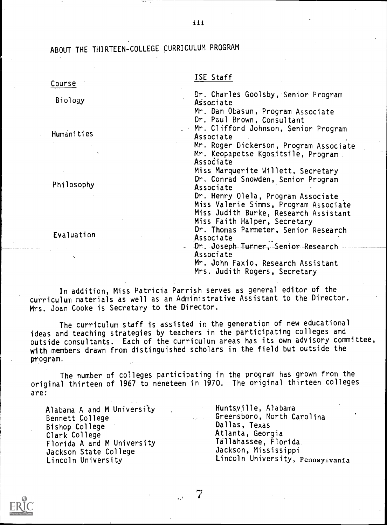ABOUT THE THIRTEEN-COLLEGE CURRICULUM PROGRAM

| Course       | ISE Staff                                                                                                                                                           |
|--------------|---------------------------------------------------------------------------------------------------------------------------------------------------------------------|
| Biology      | Dr. Charles Goolsby, Senior Program<br>Associate                                                                                                                    |
| Humanities   | Mr. Dan Obasun, Program Associate<br>Dr. Paul Brown, Consultant<br>. - Mr. Clifford Johnson, Senior Program                                                         |
|              | Associate<br>Mr. Roger Dickerson, Program Associate<br>Mr. Keopapetse Kgositsile, Program                                                                           |
| Philosophy   | Associate<br>Miss Marquerite Willett, Secretary<br>Dr. Conrad Snowden, Senior Program<br>Associate<br>Dr. Henry Olela, Program Associate                            |
| Evaluation   | Miss Valerie Simms, Program Associate<br>Miss Judith Burke, Research Assistant<br>Miss Faith Halper, Secretary<br>Dr. Thomas Parmeter, Senior Research<br>Associate |
| $\mathbf{v}$ | Dr. Joseph Turner, Senior Research<br>Associate<br>Mr. John Faxio, Research Assistant<br>Mrs. Judith Rogers, Secretary                                              |

In addition, Miss Patricia Parrish serves as general editor of the curriculum materials as well as an Administrative Assistant to the Director. Mrs. Joan Cooke is Secretary to the Director.

The curriculum staff is assisted in the generation of new educational ideas and teaching strategies by teachers in the participating colleges and outside consultants. Each of the curriculum areas has its own advisory committee, with members drawn from distinguished scholars in the field but outside the program.

The number of colleges participating in the program has grown from the original thirteen of 1967 to neneteen in 1970. The original thirteen colleges are:

7

Alabama A and M University Bennett College Bishop College Clark College Florida A and M University Jackson State College Lincoln University

Huntsville, Alabama Greensboro, North Carolina Dallas, Texas Atlanta, Georgia Tallahassee, Florida Jackson, Mississippi Lincoln University, Pennsylvania



iii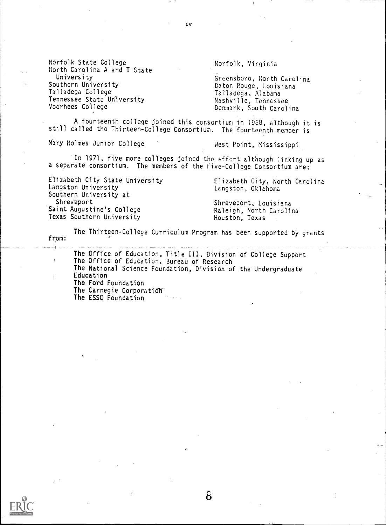Norfolk State College North Carolina A and T State University Southern University Talladega College Tennessee State University Voorhees College

Norfolk, Virginia

Greensboro, North Carolina Baton Rouge, Louisiana Talladega, Alabama Nashville, Tennessee Denmark, South Carolina

A fourteenth college joined this consortium in 1968, although it is still called the Thirteen-College Consortium. The fourteenth member is

Mary Holmes Junior College West Point, Mississippi

In 1971, five more colleges joined the effort although linking up as a separate consortium. The members of the Five-College Consortium are:

Elizabeth City State University Langston University Southern University at Shrev'eport Saint Augustine's College Texas Southern University

Elizabeth City, North Carolina Langston, Oklahoma

Shreveport, Louisiana Raleigh, North Carolina Houston, Texas

The Thirteen-College Curriculum Program has been supported by grants from:

The Office of Education, Title III, Division of College Support The Office of Education, Bureau of Research The National Science Foundation, Division of the Undergraduate Education The Ford Foundation The Carnegie Corporation The ESSO Foundation

8

iv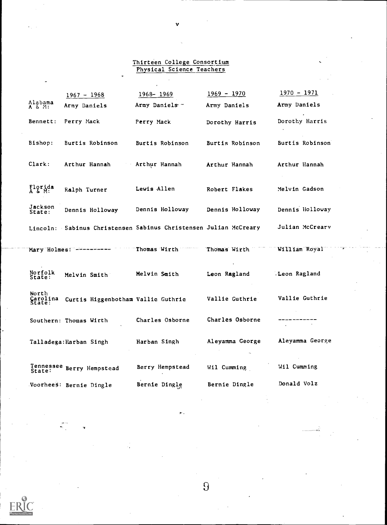#### Thirteen College Consortium Physical Science Teachers

l,

V

|                             | $1967 - 1968$                                                    | $1968 - 1969$          | $1969 - 1970$          | $1970 - 1971$    |
|-----------------------------|------------------------------------------------------------------|------------------------|------------------------|------------------|
| Alabama<br>A & M:           | Army Daniels                                                     | Army Daniels -         | Army Daniels           | Army Daniels     |
| Bennett:                    | Perry Mack                                                       | Perry Mack             | Dorothy Harris         | Dorothy Harris   |
| Bishop:                     | Burtis Robinson                                                  | <b>Burtis Robinson</b> | <b>Burtis Robinson</b> | Burtis Robinson  |
| Clark:                      | Arthur Hannah                                                    | Arthur Hannah          | Arthur Hannah          | Arthur Hannah    |
| Florida<br>A & M:           | Ralph Turner                                                     | Lewis Allen            | Robert Flakes          | Melvin Gadson    |
| Jackson<br><b>State:</b>    | Dennis Holloway                                                  | Dennis Holloway        | Dennis Holloway        | Dennis liolloway |
|                             | Lincoln: Sabinus Christensen Sabinus Christensen Julian McCreary |                        |                        | Julian McCreary  |
|                             | Mary Holmes: ----------                                          | <b>Thomas Wirth</b>    | Thomas Wirth           | William Royal    |
| Norfolk<br>State:           | Melvin Smith                                                     | Melvin Smith           | Leon Ragland           | Leon Ragland     |
| North<br>Carolina<br>State: | Curtis Higgenbotham Vallie Guthrie                               |                        | Vallie Guthrie         | Vallie Guthrie   |
|                             | Southern: Thomas Wirth                                           | Charles Osborne        | Charles Osborne        |                  |
|                             | Talladega: Harban Singh                                          | Harban Singh           | Aleyamma George        | Aleyamma George  |
|                             | Tennessee Berry Hempstead                                        | Berry Hempstead        | Wil Cumming            | Wil Cumming      |
|                             | Voorhees: Bernie Dingle                                          | Bernie Dingle          | Bernie Dingle          | Donald Volz      |
|                             |                                                                  |                        |                        |                  |

9

ر<br>بر<br>پروخت جا جا جا جا جا جا جا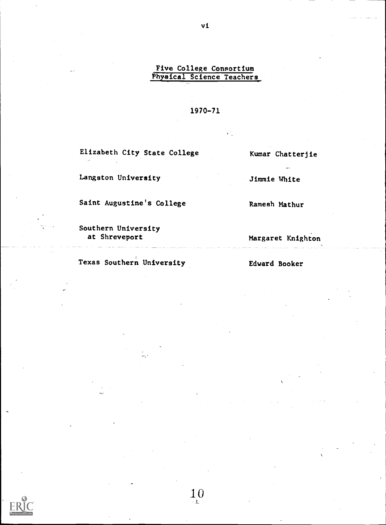### Five College Consortium Physical Science Teachers

#### 1970-71

10

Elizabeth City State College

Langston University

Saint Augustine's College

Southern University at Shreveport

Texas Southern University

Kumar Chatterjie

 $\ddot{\phantom{a}}$ 

Jimmie White

Ramesh Mathur

Margaret Knighton

Edward Booker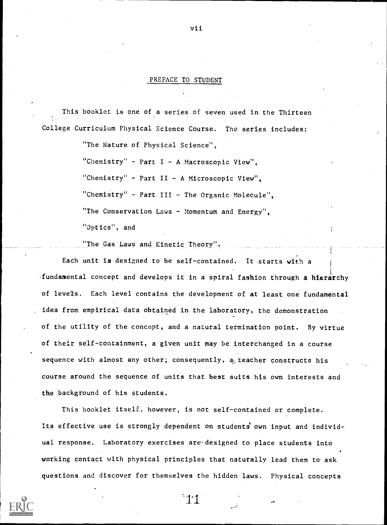#### PREFACE TO STUDENT

This booklet is one of a series of seven used in the Thirteen College Curriculum Physical Science Course. The series includes:

"The Nature of Physical Science",

"Chemistry" - Part  $I - A$  Macroscopic View",

"Chemistry" - Part II - A Microscopic View",

"Chemistry" - Part III - The Organic Molecule",

"The Conservation Laws - Momentum and Energy".

"Optics", and

"The Gas Laws and Kinetic Theory"

Each unit is designed to be self-contained. It starts with a fundamental concept and develops it in a spiral fashion through a hierarchy of levels. Each level contains the development of at least one fundamental idea from empirical data obtained in the laboratory, the demonstration of the utility of the concept, and a natural termination point. By virtue of their self-containment, a given unit may be interchanged in a course sequence with almost any other; consequently, a teacher constructs his course around the sequence of units that best suits his own interests and the background of his students.

This booklet itself, however, is not self-contained or complete. Its effective use is strongly dependent on students own input and individual response. Laboratory exercises are-designed to place students into working contact with physical principles that naturally lead them to ask questions and discover for themselves the hidden laws. Physical concepts

vii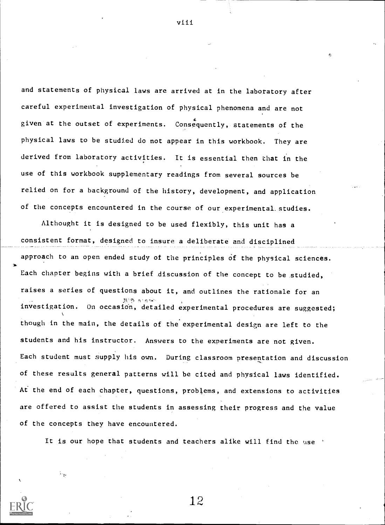and statements of physical laws are arrived at in the laboratory after careful experimental investigation of physical phenomena and are not given at the outset of experiments. Consequently, statements of the physical laws to be studied do not appear in this workbook. They are derived from laboratory activities. It is essential then that in the use of this workbook supplementary readings from several sources be relied on for a background of the history, development, and application of the concepts encountered in the course of our experimental. studies.

Althought it is designed to be used flexibly, this unit has a consistent format, designed to insure a deliberate and disciplined approach to an open ended study of the principles of the physical sciences. Each chapter begins with a brief discussion of the concept to be studied, raises a series of questions about it, and outlines the rationale for an investigation. On occasion, detailed experimental procedures are suggested; thcugh in the main, the details of the experimental design are left to the students and his instructor. Answers to the experiments are not given. Each student must supply his own. During classroom presentation and discussion of these results general patterns will be cited and physical laws identified. At the end of each chapter, questions, problems, and extensions to activities are offered to assist the students in assessing their progress and the value of the concepts they have encountered.

It is our hope that students and teachers alike will find the use

12

viii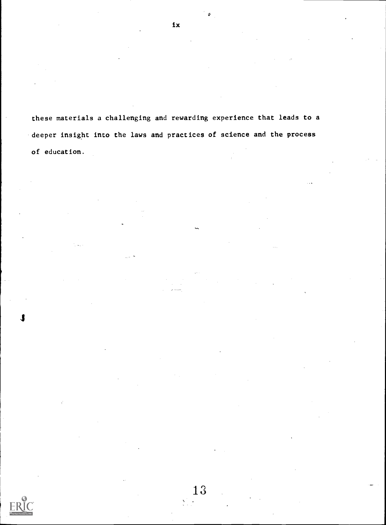these materials a challenging and rewarding experience that leads to a deeper insight into the laws and practices of science and the process of education.

13

 $\mathbf{X}_{\mathrm{eff}}$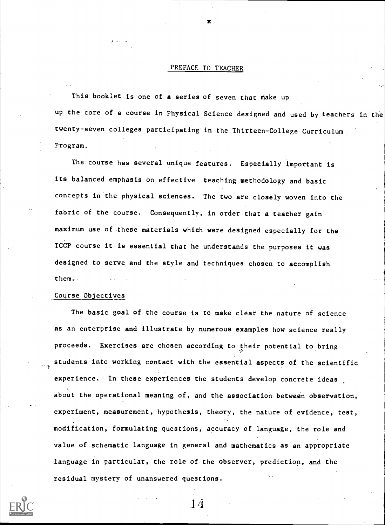#### PREFACE TO TEACHER

This booklet is one of a series of seven that make up up the core of a course in Physical Science designed and used by teachers in the twenty-seven colleges participating in the Thirteen-College Curriculum Program.

The course has several unique features. Especially important is its balanced emphasis on effective teaching methodology and basic concepts in the physical sciences. The two are closely woven into the fabric of the course. Consequently, in order that a teacher gain maximum use of these materials which were designed especially for the TCCP course it is essential that he understands the purposes it was designed to serve and the style and techniques chosen to accomplish them.

#### Course Objectives

The basic goal of the course is to make clear the nature of science as an enterprise and illustrate by numerous examples how science really proceeds. Exercises are chosen according to their potential to bring students into working contact with the essential aspects of the scientific experience. In these experiences the students develop concrete ideas about the operational meaning of, and the association between observation, experiment, measurement, hypothesis, theory, the nature of evidence, test, modification, formulating questions, accuracy of language, the role and value of schematic language in general and mathematics as an appropriate language in particular, the role of the observer, prediction, and the residual mystery of unanswered questions.

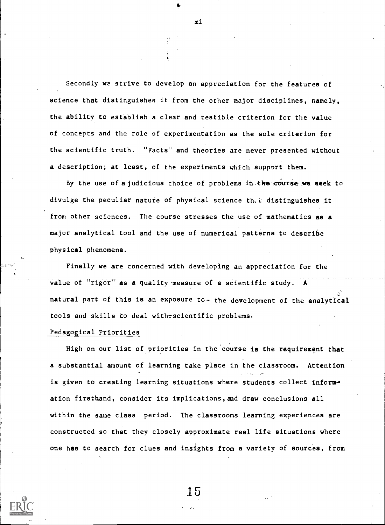Secondly we strive to develop an appreciation for the features of science that distinguishes it from the other major disciplines, namely, the ability to establish a clear and testible criterion for the value of concepts and the role of experimentation as the sole criterion for the scientific truth. "Facts" and theories are never presented without a description; at least, of the experiments which support them.

By the use of a judicious choice of problems in.the course we seek to divulge the peculiar nature of physical science th,i: distinguishes it from other sciences. The course stresses the use of mathematics as a major analytical tool and the use of numerical patterns to describe physical phenomena.

Finally we are concerned with developing an appreciation for the value of "rigor" as a quality measure of a scientific study. A natural part of this is an exposure to- the development of the analytical tools and skills to deal with-scientific problems.

#### Pedagogical Priorities

High on our list of priorities in the course is the requirement that a substantial amount of learning take place in the classroom. Attention is given to creating learning situations where students collect information firsthand, consider its implications,and draw conclusions all within the same class period. The classrooms learning experiences are constructed so that they closely approximate real life situations where one has to search for clues and insights from a variety of sources, from

xi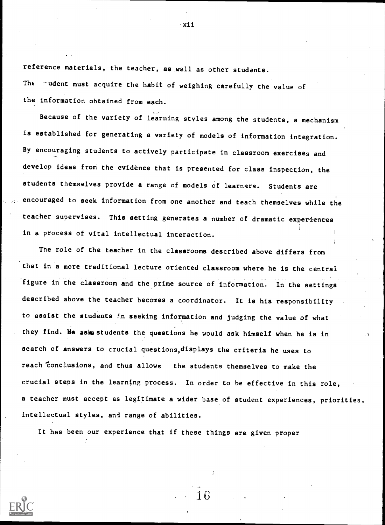reference materials, the teacher, as well as other students. The mudent must acquire the habit of weighing carefully the value of the information obtained from each.

Because of the variety of learning styles among the students, a mechanism is established for generating a variety of models of information integration. By encouraging students to actively participate in classroom exercises and develop ideas from the evidence that is presented for class inspection, the students themselves provide a range of models of learners. Students are encouraged to seek information from one another and teach themselves while the teacher supervises. This setting generates a number of dramatic experiences in a process of vital intellectual interaction.

The role of the teacher in the classrooms described above differs from that in a more traditional lecture oriented classroom where he is the central figure in the classroom and the prime source of information. In the settings described above the teacher becomes a coordinator. It is his responsibility to assist the students in seeking information and judging the value of what they find. He asks students the questions he would ask himself when he is in search of answers to crucial questions,displays the criteria he uses to reach conclusions, and thus allows the students themselves to make the crucial steps in the learning process. In order to be effective in this role, a teacher must accept as legitimate a wider base of student experiences, priorities, intellectual styles, and range of abilities.

1G

It has been our experience that if these things are given proper



xii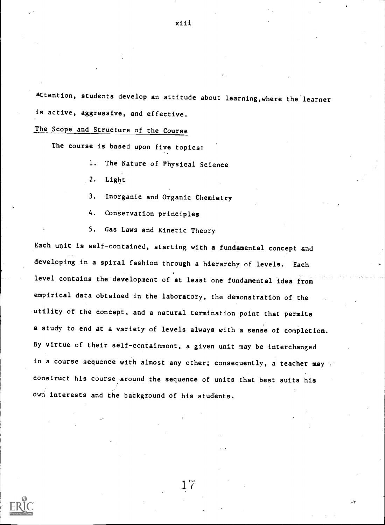attention, students develop an attitude about learning,where the learner is active, aggressive, and effective.

The Scope and Structure of the Course

The course is based upon five topics:

- 1. The Nature of Physical Science
- 2. Light
- 3. Inorganic and Organic Chemistry
- 4. Conservation principles
- 5. Gas Laws and Kinetic Theory

Each unit is self-contained, starting with a fundamental concept and developing in a spiral fashion through a hierarchy of levels. Each level contains the development of at least one fundamental idea from empirical data obtained in the laboratory, the demonstration of the utility of the concept, and a natural termination point that permits a study to end at a variety of levels always with a sense of completion. By virtue of their self-containment, a given unit may be interchanged in a course sequence with almost any other; consequently, a teacher may construct his course around the sequence of units that best suits his own interests and the background of his students.

17

وذن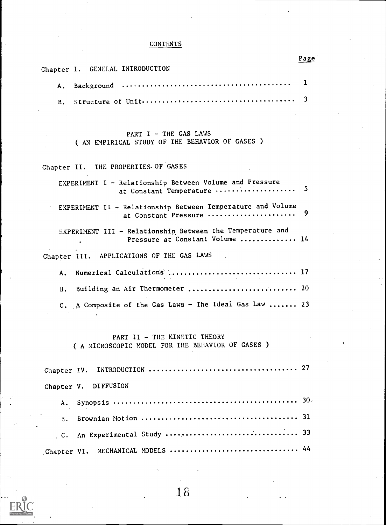### **CONTENTS**

|                                                                                              | Page |
|----------------------------------------------------------------------------------------------|------|
| Chapter I. GENELAL INTRODUCTION                                                              |      |
| Α.                                                                                           | 1    |
| В.                                                                                           | 3    |
|                                                                                              |      |
| PART I - THE GAS LAWS<br>( AN EMPIRICAL STUDY OF THE BEHAVIOR OF GASES )                     |      |
| Chapter II. THE PROPERTIES OF GASES                                                          |      |
| EXPERIMENT I - Relationship Between Volume and Pressure<br>at Constant Temperature           | 5    |
| EXPERIMENT II - Relationship Between Temperature and Volume<br>at Constant Pressure          | 9    |
| EXPERIMENT III - Relationship Between the Temperature and<br>Pressure at Constant Volume  14 |      |
| Chapter III. APPLICATIONS OF THE GAS LAWS                                                    |      |
| Α.                                                                                           |      |
| Building an Air Thermometer  20<br>В.                                                        |      |
| C. A Composite of the Gas Laws - The Ideal Gas Law  23                                       |      |
| PART II - THE KINETIC THEORY<br>( A MICROSCOPIC MODEL FOR THE BEHAVIOR OF GASES )            |      |
| Chapter IV.                                                                                  |      |
| <b>DIFFUSION</b><br>Chapter V.                                                               |      |
| A.                                                                                           |      |
| $\, {\bf B}$ .                                                                               |      |

C. An Experimental Study <sup>33</sup> Chapter VI. MECHANICAL MODELS <sup>44</sup>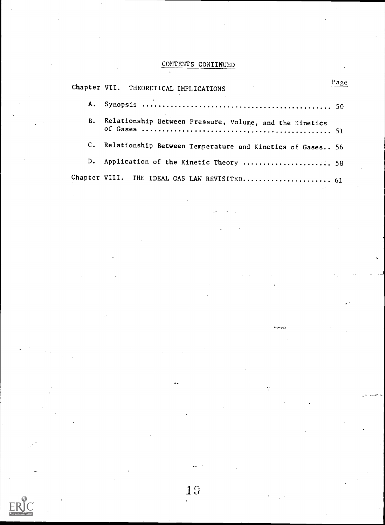# CONTENTS CONTINUED

|             | Chapter VII. THEORETICAL IMPLICATIONS                     | Page |
|-------------|-----------------------------------------------------------|------|
|             |                                                           |      |
| B.          | Relationship Between Pressure, Volume, and the Kinetics   |      |
| $c_{\cdot}$ | Relationship Between Temperature and Kinetics of Gases 56 |      |
| D.          | Application of the Kinetic Theory  58                     |      |
|             |                                                           |      |

 $\overline{a_2}$ 

ç.

19

 $ERIC$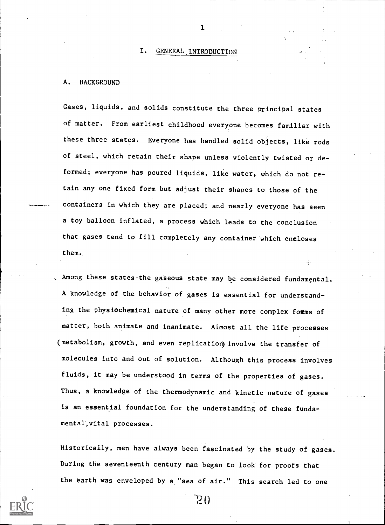#### I. GENERAL INTRODUCTION

 $\mathbf{r}$  and  $\mathbf{r}$ 

#### A. BACKGROUND

Gases, liquids, and solids constitute the three principal states of matter. From earliest childhood everyone becomes familiar with these three states. Everyone has handled solid objects, like rods of steel, which retain their shape unless violently twisted or deformed; everyone has poured liquids, like water, which do not retain any one fixed form but adjust their shapes to those of the containers in which they are placed; and nearly everyone has seen a toy balloon inflated, a process which leads to the conclusion that gases tend to fill completely any container which encloses them.

, Among these states the gaseous state may be considered fundamental. A knowledge of the behavior of gases is essential for understanding the physiochemical nature of many other more complex forms of matter, both animate and inanimate. Aimost all the life processes (metabolism, growth, and even replication) involve the transfer of molecules into and out of solution. Although this process involves fluids, it may be understood in terms of the properties of gases. Thus, a knowledge of the thermodynamic and kinetic nature of gases is an essential foundation for the understanding of these fundsmental', vital processes.

Historically, men have always been fascinated by the study of gases. During the seventeenth century man began to look for proofs that the earth was enveloped by a "sea of air." This search led to one

 $^{\prime}$ 20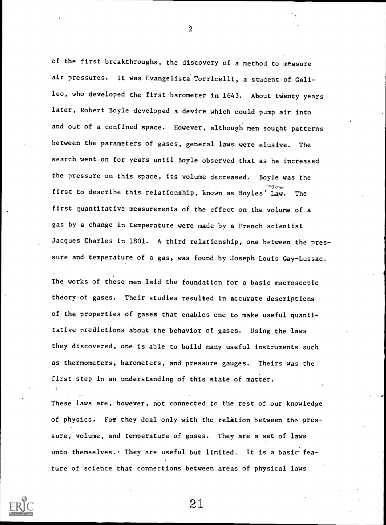of the first breakthroughs, the discovery of a method to measure air pressures. It was Evangelista Torricelli, a student of Galileo, who developed the first barometer in 1643. About twenty years later, Robert Boyle developed a device which could pump air into and out of a confined space. However, although men sought patterns between the parameters of gases, general laws were elusive. The search went on for years until Boyle observed that as he increased the pressure on this space, its volume decreased. Boyle was the first to describe this relationship, known as Boyles" Law. The first quantitative measurements of the effect on the volume of a gas by a change in temperature were made by a French scientist Jacques Charles in 1801. A third relationship, one between the pressure and temperature of a gas, was found by Joseph Louis Gay-Lussac.

The works of these men laid the foundation for a basic macroscopic theory of gases. Their studies resulted in accurate descriptions of the properties of gases that enables one to make useful quantitative predictions about the behavior of gases. Using the laws they discovered, one is able to build many useful instruments such as thermometers, barometers, and pressure gauges. Theirs was the first step in an understanding of this state of matter.

These laws are, however, not connected to the rest of our knowledge of physics. For they deal only with the relation between the pressure, volume, and temperature of gases. They are a set of laws unto themselves. They are useful but limited. It is a basic feature of science that connections between areas of physical laws



2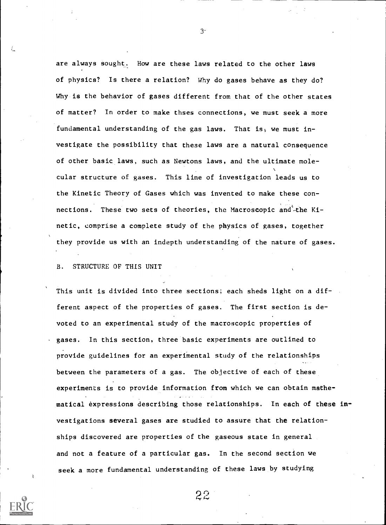are always sought. How are these laws related to the other laws of physics? Is there a relation? Why do gases behave as they do? Why is the behavior of gases different from that of the other states of matter? In order to make thses connections, we must seek a more fundamental understanding of the gas laws. That is, we must investigate the possibility that these laws are a natural consequence of other basic laws, such as Newtons laws, and the ultimate molecular structure of gases. This line of investigation leads us to the Kinetic Theory of Gases which was invented to make these connections. These two sets of theories, the Macroscopic and-the Kinetic, comprise a complete study of the physics of gases, together they provide us with an indepth understanding of the nature of gases.

B. STRUCTURE OF THIS UNIT

This unit is divided into three sections; each sheds light on a different aspect of the properties of gases. The first section is devoted to an experimental study of the macroscopic properties of gases. In this section, three basic experiments are outlined to provide guidelines for an experimental study of the relationships between the parameters of a gas. The objective of each of these experiments is to provide information from which we can obtain mathematical expressions describing those relationships. In each of these investigations several gases are studied to assure that the relationships discovered are properties of the gaseous state in general and not a feature of a particular gas. In the second section we seek a more fundamental understanding of these laws by studying



3-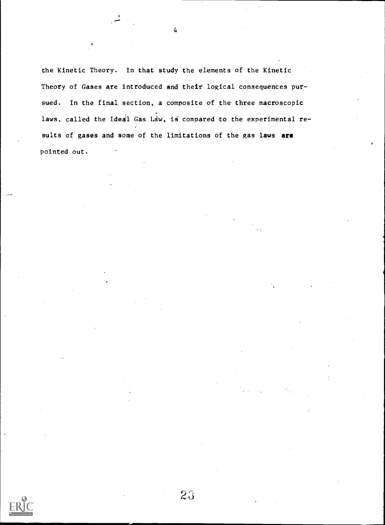the Kinetic Theory. In that study the elements of the Kinetic Theory of Gases are introduced and their logical consequences pursued. In the final section, a composite of the three macroscopic laws, called the Ideal Gas Law, is compared to the experimental results of gases and some of the limitations of the gas laws are pointed out.

 $23$ 

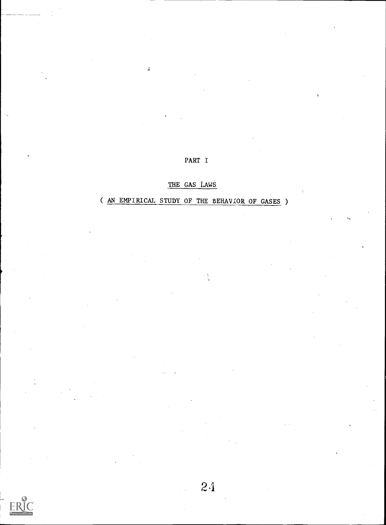### PART I

 $\frac{1}{2}$ 

### THE GAS LAWS

# ( AN EMPIRICAL STUDY OF THE BEHAVIOR OF GASES )

ERIC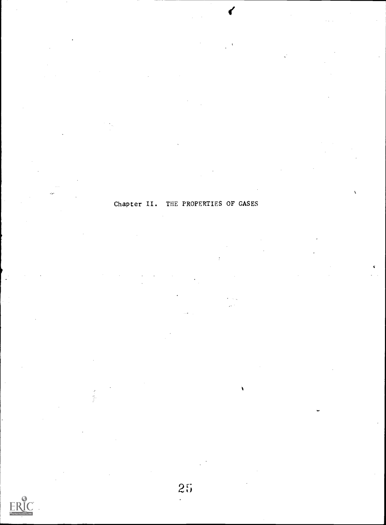Chapter II. THE PROPERTIES OF GASES



ś

 $25$ 

À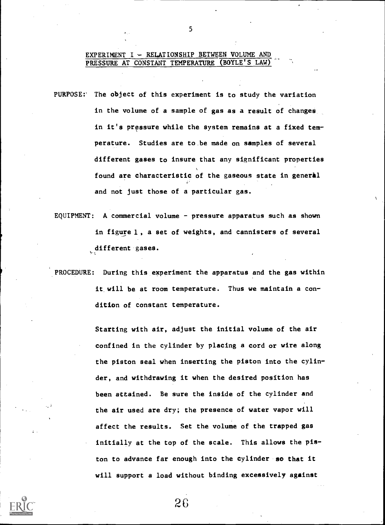#### EXPERIMENT I - RELATIONSHIP BETWEEN VOLUME AND PRESSURE AT CONSTANT TEMPERATURE (BOYLE'S LAW)

- PURPOSE:' The object of this experiment is to study the variation in the volume of a sample of gas as a result of changes in it's pressure while the system remains at a fixed temperature. Studies are to.be made on samples of several different gases to insure that any significant properties found are characteristic of the gaseous state in general and not just those of a particular gas.
- EQUIPMENT: A commercial volume pressure apparatus such as shown in figure 1, a set of weights, and cannisters of several different gases.
- PROCEDURE: During this experiment the apparatus and the gas within it will be at room temperature. Thus we maintain a condition of constant temperature.

Starting with air, adjust the initial volume of the air confined in the cylinder by placing a cord or wire along the piston seal when inserting the piston into the cylinder, and withdrawing it when the desired position has been attained. Be sure the inside of the cylinder and the air used are dry; the presence of water vapor will affect the results. Set the volume of the trapped gas initially at the top of the scale. This allows the piston to advance far enough into the cylinder so that it will support a load without binding excessively against

5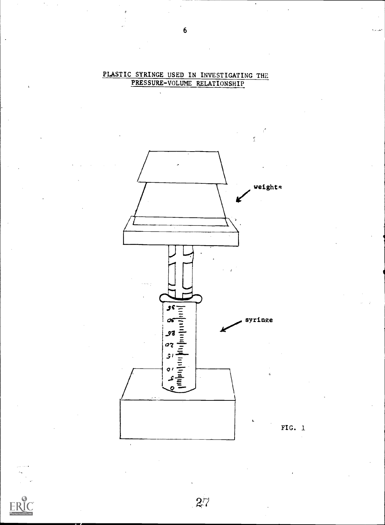

 $27$ 

PLASTIC SYRINGE USED IN INVESTIGATING THE PRESSURE-VOLUME RELATIONSHIP

FIG.  $1$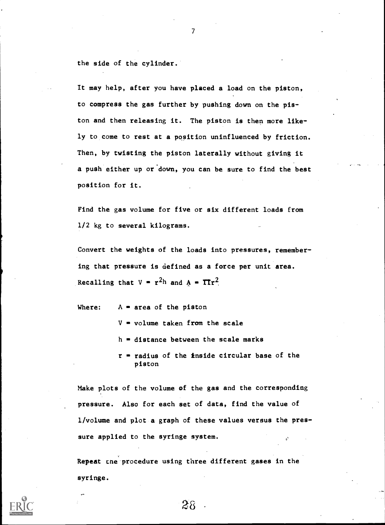the side of the cylinder.

It may help, after you have placed a load on the piston, to compress the gas further by pushing down on the piston and then releasing it. The piston is then more likely to come to rest at a position uninfluenced by friction. Then, by twisting the piston laterally without giving it a push either up or down, you can be sure to find the best position for it.

Find the gas volume for five or six different loads from 1/2 kg to several kilograms.

Convert the weights of the loads into pressures, remembering that pressure is defined as a force per unit area. Recalling that  $V = r^2h$  and  $A = \text{Tr}^2$ .

Where:  $A = area of the piston$ 

 $V = volume$  taken from the scale

 $h =$  distance between the scale marks

 $r$  = radius of the inside circular base of the piston

Make plots of the volume of the gas and the corresponding pressure. Also for each set of data, find the value of 1/volume and plot a graph of these values versus the pressure applied to the syringe system.

Repeat cne procedure using three different gases in the syringe.

 $28<sub>5</sub>$ 

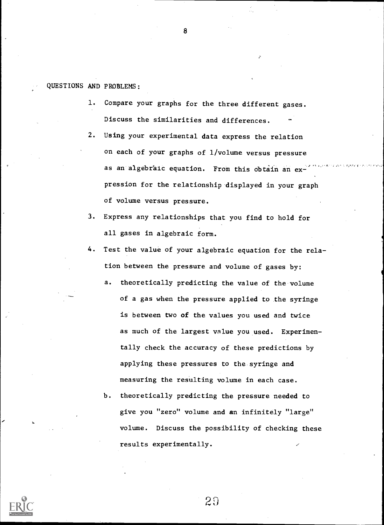QUESTIONS AND PROBLEMS:

- 1. Compare your graphs for the three different gases. Discuss the similarities and differences.
- 2. Using your experimental data express the relation on each of your graphs of 1/volume versus pressure as an algebraic equation. From this obtain an expression for the relationship displayed in your graph of volume versus pressure.
- 3. Express any relationships that you find to hold for all gases in algebraic form.
- 4. Test the value of your algebraic equation for the relation between the pressure and volume of gases by:
	- a. theoretically predicting the value of the volume of a gas when the pressure applied to the syringe is between two of the values you used and twice as much of the largest value you used. Experimentally check the accuracy of these predictions by applying these pressures to the syringe and measuring the resulting volume in each case.
	- b. theoretically predicting the pressure needed to give you "zero" volume and an infinitely "large" volume. Discuss the possibility of checking these results experimentally.



20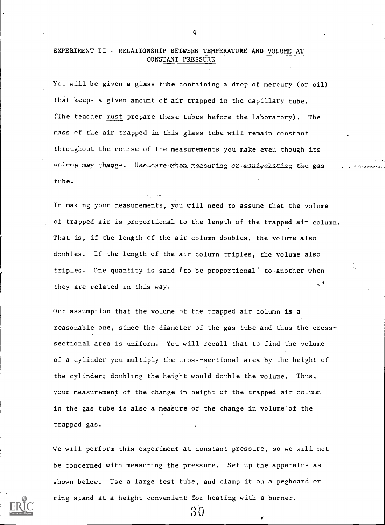#### EXPERIMENT II - RELATIONSHIP BETWEEN TEMPERATURE AND VOLUME AT CONSTANT PRESSURE

You will be given a glass tube containing a drop of mercury (or oil) that keeps a given amount of air trapped in the capillary tube. (The teacher must prepare these tubes before the laboratory). The mass of the air trapped in this glass tube will remain constant throughout the course of the measurements you make even though its uplume may change. Use eare when measuring or manipulating the gas tube.

In making your measurements, you will need to assume that the volume of trapped air is proportional to the length of the trapped air column. That is, if the length of the air column doubles, the volume also doubles. If the length of the air column triples, the volume also triples. One quantity is said "to be proportional" to another when they are related in this way.

Our assumption that the volume of the trapped air column is a reasonable one, since the diameter of the gas tube and thus the crosssectional area is uniform. You will recall that to find the volume of a cylinder you multiply the cross-sectional area by the height of the cylinder; doubling the height would double the volume. Thus, your measurement of the change in height of the trapped air column in the gas tube is also a measure of the change in volume of the trapped gas.

We will perform this experiment at constant pressure, so we will not be concerned with measuring the pressure. Set up the apparatus as shown below. Use a large test tube, and clamp it on a pegboard or ring stand at a height convenient for heating with a burner.

30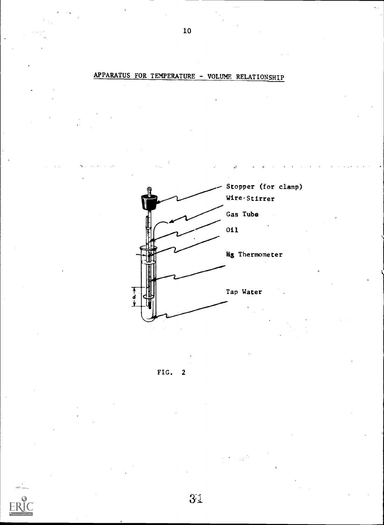Stopper (for clamp) Wire Stirrer Gas Tube Oil Hz Thermometer Tap Water ٦<br>d



## APPARATUS FOR TEMPERATURE - VOLUME RELATIONSHIP

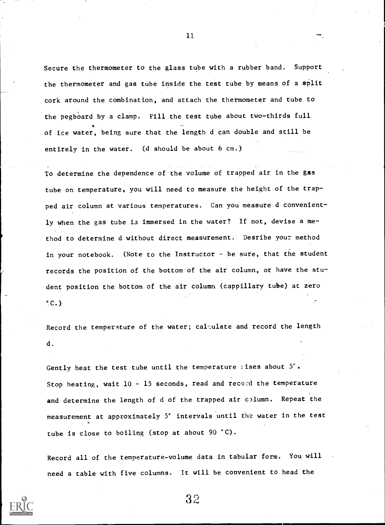Secure the thermometer to the glass tube with a rubber band. Support the thermometer and gas tube inside the test tube by means of a split cork around the combination, and attach the thermometer and tube to the pegboard by a clamp. Fill the test tube about two-thirds full of ice water, being sure that the length d can double and still be entirely in the water. (d should be about 6 cm.)

To determine the dependence of the volume of trapped air in the gas tube on temperature, you will need to measure the height of the trapped air column at various temperatures. Can you measure d conveniently when the gas tube is immersed in the water? If not, devise a method to determine d without direct measurement. Desribe your method in your notebook. (Note to the Instructor - be sure, that the student records the position of the bottom of the air column, or have the student position the bottom of the air column (cappillary tube) at zero  $°C.$ 

Record the temperature of the water; calculate and record the length d.

Gently heat the test tube until the temperature alses about  $5^\circ$ . Stop heating, wait  $10 - 15$  seconds, read and record the temperature and determine the length of d of the trapped air column. Repeat the measurement at approximately 5' intervals until the water in the test tube is close to boiling (stop at about 90 °C).

Record all of the temperature-volume data in tabular form. You will need a table with five columns. It will be convenient to head the



11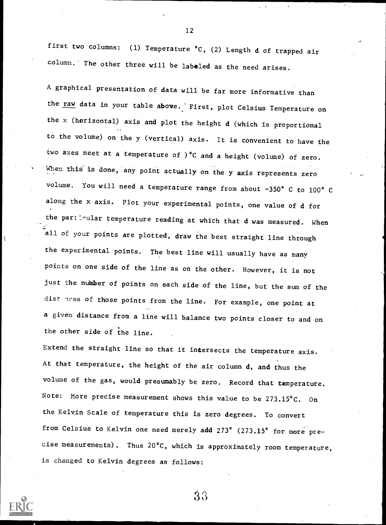first two columns: (1) Temperature °C, (2) Length d of trapped air column." The other three will be labeled as the need arises.

A graphical presentation of data will be far more informative than the raw data in your table above. 'First, plot Celsius Temperature on the x (horizontal) axis and plot the height d (which is proportional to the volume) on the y (vertical) axis. It is convenient to have the two axes meet at a temperature of )°C and a height (volume) of zero. When this is done, any point actually on the y axis represents zero volume. You will need a temperature range from about -350° C to 100° C along the x axis. Plot your experimental points, one value of d for the particular temperature reading at which that d was measured. When all of your points are plotted, draw the best straight line through the experimental points. The best line will usually have as many points on one side of the line as on the other. However, it is not just the nunber of points on each side of the line, but the sum of the dist nees of those points from the line. For example, one point at a given distance from a line will balance two points closer to and on the other side of the line.

Extend the straight line so that it intersects the temperature axis. At that temperature, the height of the air column d, and thus the volume of the gas, would presumably be zero. Record that temperature. Note: More precise measurement shows this value to be 273.15°C. On the Kelvin Scale of temperature this is zero degrees. To convert from Celsius to Kelvin one need merely add 273° (273.15° for more precise measurements). Thus 20°C, which is approximately room temperature, is changed to Kelvin degrees as follows:



12

 $\rm 33$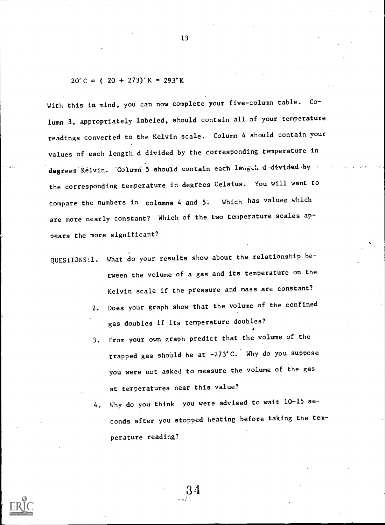#### $20^{\circ}$  C = ( 20 + 273) $^{\circ}$  K = 293 $^{\circ}$  K

With this in mind, you can now complete your five-column table. Column 3, appropriately labeled, should contain all of your temperature readings converted to the Kelvin scale. Column 4 should contain your values of each length d divided by the corresponding temperature in degrees Kelvin. Column 5 should contain each length d divided by the corresponding temperature in degrees Celsius. You will want to compare the numbers in columns 4 and 5'. Which has values which are more nearly constant? Which of the two temperature scales appears the more significant?

QUESTIONS:1. What do your results show about the relationship between the volume of a gas and its temperature on the Kelvin scale if the pressure and mass are constant?

- 2. Does your graph show that the volume of the confined gas doubles if its temperature doubles? U
- 3. From your own graph predict that the volume of the trapped gas should be at  $-273$ °C. Why do you suppose you were not asked to measure the volume of the gas at temperatures near this value?
- 4. Why do you think you were advised to wait 10-15 seconds after you stopped heating before taking the temperature reading?

3 4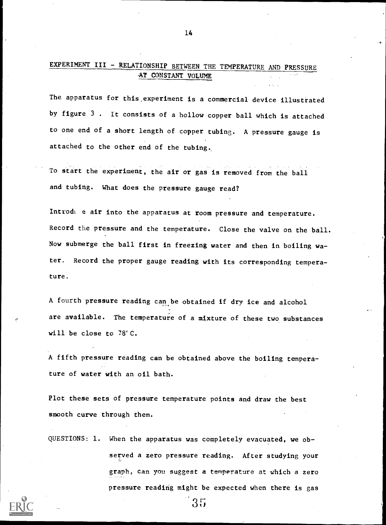### EXPERIMENT III - RELATIONSHIP BETWEEN THE TEMPERATURE AND PRESSURE AT CONSTANT VOLUME

The apparatus for this,experiment is a commercial device illustrated by figure 3 . It consists of a hollow copper ball which is attached to one end of a short length of copper tubing. A pressure gauge is attached to the other end of the tubing..

To start the experiment, the air or gas is removed from the ball and tubing. What does the pressure gauge read?

Introda e air into the apparatus at room pressure and temperature. Record the pressure and the temperature. Close the valve on the ball. Now submerge the ball first in freezing water and then in boiling water. Record the proper gauge reading with its corresponding temperature.

A fourth pressure reading can be obtained if dry ice and alcohol are available. The temperature of a mixture of these two substances will be close to 78'C.

A fifth pressure reading can be obtained above the boiling temperature of water with an oil bath.

Plot these sets of pressure temperature points and draw the best smooth curve through them.

QUESTIONS: 1. When the apparatus was completely evacuated, we observed a zero pressure reading. After studying your graph, can you suggest a temperature at which a zero pressure reading might be expected when there is gas

35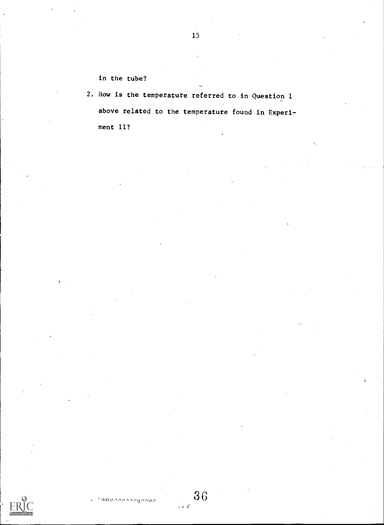in the tube?

2. How is the temperature referred to in Question 1 above related to the temperature found in Experiment II?

3G

 $\epsilon \in \mathcal{L}$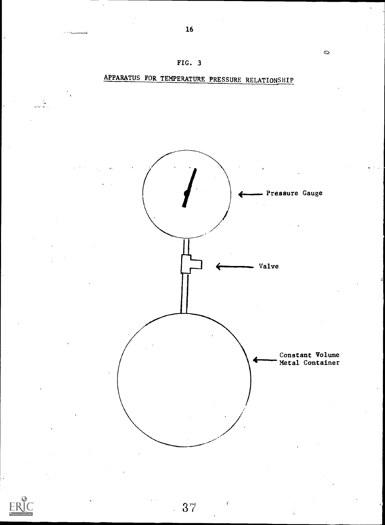

16

 $\bigodot$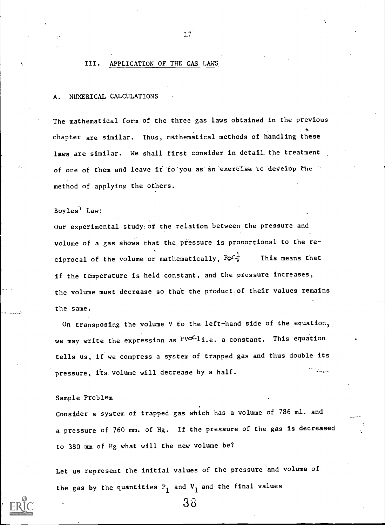## III. APPLICATION OF THE GAS LAWS

#### NUMERICAL CALCULATIONS

The mathematical form of the three gas laws obtained in the previous chapter are similar. Thus, mathematical methods of handling these laws are similar. We shall first consider in detail the treatment of one of them and leave it to you as an exercise to develop the method of applying the others.

Boyles' Law:

Our experimental study:of the relation between the pressure and volume of a gas shows that the pressure is proportional to the reciprocal of the volume or mathematically,  $P\not\subset\overline{V}$  This means that if the temperature is held constant, and the pressure increases, the volume must decrease so that the product-of their values remains the same.

On transposing the volume V to the left-hand side of the equation, we may write the expression as  $PVOC11.e.$  a constant. This equation tells us, if we compress a system of trapped gas and thus double its pressure, its volume will decrease by a half.  $\mathbb{R}$ 

#### Sample Problem

Consider a system of trapped gas which has a volume of 786 ml. and a pressure of 760 mm. of Hg. If the pressure of the gas is decreased to 380 mm of Hg what will the new volume be?

Let us represent the initial values of the pressure and volume of the gas by the quantities  $P_1$  and  $V_1$  and the final values

38

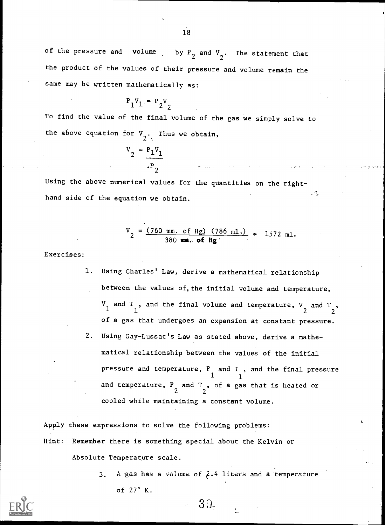of the pressure and volume by  $P_2$  and  $V_2$ . The statement that the product of the values of their pressure and volume remain the same may be written mathematically as:

$$
\mathbf{P}_1 \mathbf{V}_1 = \mathbf{P}_2 \mathbf{V}_2
$$

To find the value of the final volume of the gas we simply solve to the above equation for  $V_2$ . Thus we obtain,

$$
V_2 = P_1 V_1
$$
  

$$
V_2 = P_2 V_1
$$

Using the above numerical values for the quantities on the right-- 3 hand side of the equation we obtain.

$$
V_2 = \frac{(760 \text{ mm. of Hg}) (786 \text{ m1.})}{380 \text{ mm. of Hg}} = 1572 \text{ m1.}
$$

Exercises:

1. Using Charles' Law, derive a mathematical relationship between the values of, the initial volume and temperature,  $\frac{V}{1}$  and  $\frac{T}{1}$ , and the  $\frac{1}{1}$  $\mathbf{1}$ , and the final volume and temperature,  $V$  and  $T$  ,  $2$ of a gas that undergoes an expansion at constant pressure. 2. Using Gay-Lussac's Law as stated above, derive a mathematical relationship between the values of the initial pressure and temperature,  $P_{\perp}$  and T , and the final pressure 1 1 and temperature,  $P_{\alpha}$  and  $T_{\beta}$ , of a gas that is heated or 2 2 cooled while maintaining a constant volume.

Apply these expressions to solve the following problems: Hint: Remember there is something special about the Kelvin or Absolute Temperature scale.

> 3, A gas has a volume of 2.4 liters and a temperature of 27° K.

> > $3<sub>0</sub>$

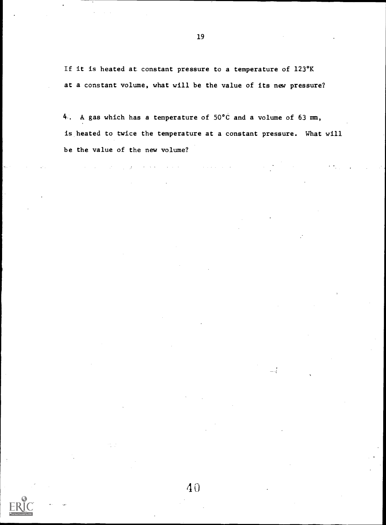If it is heated at constant pressure to a temperature of 123°K at a constant volume, what will be the value of its new pressure?

4. A gas which has a temperature of 50°C and a volume of 63 mm, is heated to twice the temperature at a constant pressure. What will be the value of the new volume?

المواصل والمتعاقبات والمستحدث والمتعارف والمحارب والمحارب والمحارب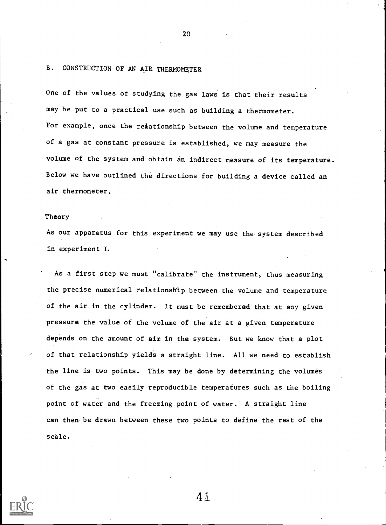## B. CONSTRUCTION OF AN AIR THERMOMETER

One of the values of studying the gas laws is that their results may be put to a practical use such as building a thermometer. For example, once the relationship between the volume and temperature of a gas at constant pressure is established, we may measure the volume of the system and obtain an indirect measure of its temperature. Below we have outlined the directions for building a device called an air thermometer.

20

## Theory

As our apparatus for this experiment we may use the system described in experiment I.

As a first step we must "calibrate" the instrument, thus measuring the precise numerical relationship between the volume and temperature of the air in the cylinder. It must be remembered that at any given pressure the value of the volume of the air at a given temperature depends on the amount of air in the system. But we know that a plot of that relationship yields a straight line. All we need to establish the line is two points. This may be done by determining the volumes of the gas at two easily reproducible temperatures such as the boiling point of water and the freezing point of water. A straight line can then be drawn between these two points to define the rest of the scale.

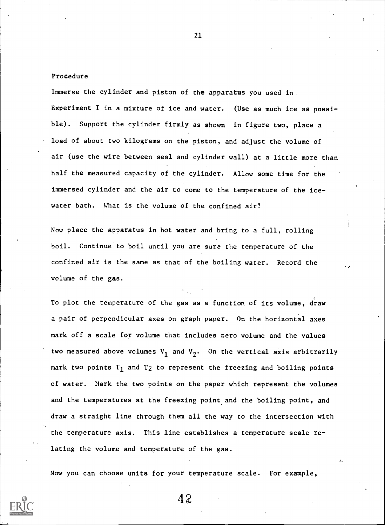#### Procedure

Immerse the cylinder and piston of the apparatus you used in. Experiment I in a mixture of ice and water. (Use as much ice as possible). Support the cylinder firmly as shown in figure two, place a load of about two kilograms on the piston, and adjust the volume of air (use the wire between seal and cylinder wall) at a little more than half the measured capacity of the cylinder. Allow some time for the immersed cylinder and the air to come to the temperature of the icewater bath. What is the volume of the confined air?

Now place the apparatus in hot water and bring to a full, rolling boil. Continue to boil until you are sure the temperature of the confined air is the same as that of the boiling water. Record the volume of the gas.

To plot the temperature of the gas as a function of its volume, draw a pair of perpendicular axes on graph paper. On the horizontal axes mark off a scale for volume that includes zero volume and the values two measured above volumes  $V_1$  and  $V_2$ . On the vertical axis arbitrarily mark two points  $T_1$  and  $T_2$  to represent the freezing and boiling points of water. Mark the two points on the paper which represent the volumes and the temperatures at the freezing point and the boiling point, and draw a straight line through them all the way to the intersection with the temperature axis. This line establishes a temperature scale relating the volume and temperature of the gas.

Now you can choose units for your temperature scale. For example,

42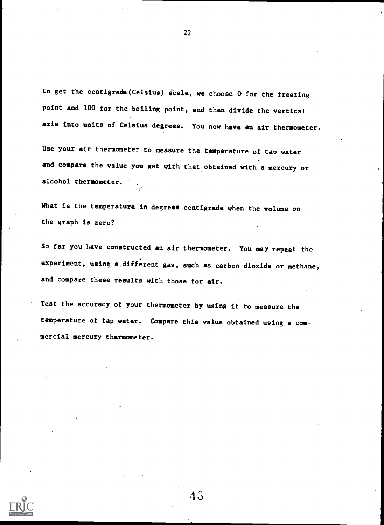to get the centigrade (Celsius) scale, we choose  $0$  for the freezing point and 100 for the boiling point, and then divide the vertical axis into units of Celsius degrees. You now have an air thermometer.

Use your air thermometer to measure the temperature of tap water and compare the value you get with that obtained with a mercury or alcohol thermometer.

What is the temperature in degrees centigrade when the volume on the graph is zero?

So far you have constructed an air thermometer. You may repeat the experiment, using a different gas, such as carbon dioxide or methane, and compare these results with those for air.

Test the accuracy of your thermometer by using it to measure the temperature of tap water. Compare this value obtained using a com mercial mercury thermometer.



43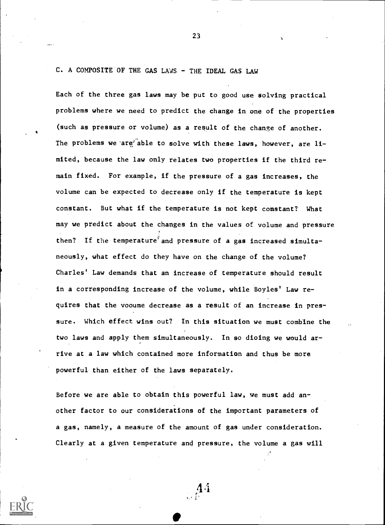## C. A COMPOSITE OF THE GAS LAWS - THE IDEAL GAS LAW

Each of the three gas laws may be put to good use solving practical problems where we need to predict the change in one of the properties (such as pressure or volume) as a result of the change of another. The problems we are able to solve with these laws, however, are limited, because the law only relates two properties if the third remain fixed. For example, if the pressure of a gas increases, the volume can be expected to decrease only if the temperature is kept constant. But what if the temperature is not kept constant? What may we predict about the changes in the values of volume and pressure then? If the temperature and pressure of a gas increased simultaneously, what effect do they have on the change of the volume? Charles' Law demands that an increase of temperature should result in a corresponding increase of the volume, while Boyles' Law requires that the vooume decrease as a result of an increase in pressure. Which effect wins out? In this situation we must combine the two laws and apply them simultaneously. In so dioing we would arrive at a law which contained more information and thus be more powerful than either of the laws separately.

Before we are able to obtain this powerful law, we must add another factor to our considerations of the important parameters of a gas, namely, a measure of the amount of gas under consideration. Clearly at a given temperature and pressure, the volume a gas will

 $\overline{14}$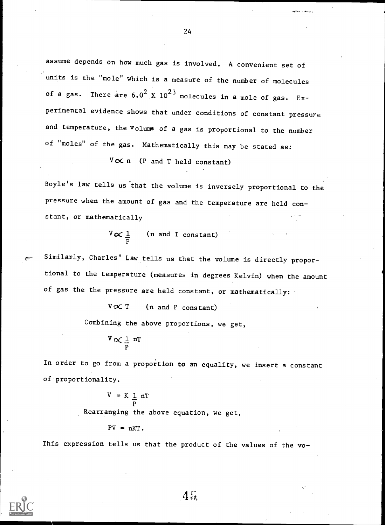assume depends on how much gas is involved. A convenient set of units is the "mole" which is a measure of the number of molecules of a gas. There are  $6.0^2$  X  $10^{23}$  molecules in a mole of gas. Experimental evidence shows that under conditions of constant pressure and temperature, the volume of a gas is proportional to the number of "moles" of the gas. Mathematically this may be stated as:

 $V \propto n$  (P and T held constant)

Boyle's law tells us'that the volume is inversely proportional to the pressure when the amount of gas and the temperature are held constant, or mathematically

> $\sqrt[V]{\infty}$  defines the  $\frac{1}{2}$  contribution of  $\ln a$ P (n and T constant)

Similarly, Charles' Law tells us that the volume is directly proportional to the temperature (measures in degrees Kelvin) when the amount of gas the the pressure are held constant, or mathematically:

 $V \propto T$  (n and P constant)

Combining the above proportions, we get,

$$
\frac{V}{P} \propto \frac{1}{P} nT
$$

In order to go from a proportion to an equality, we insert a constant of proportionality.

$$
V = K \underbrace{1}_{P} nT
$$

Rearranging the above equation, we get,

 $PV = nKT$ .

This expression tells us that the product of the values of the vo-

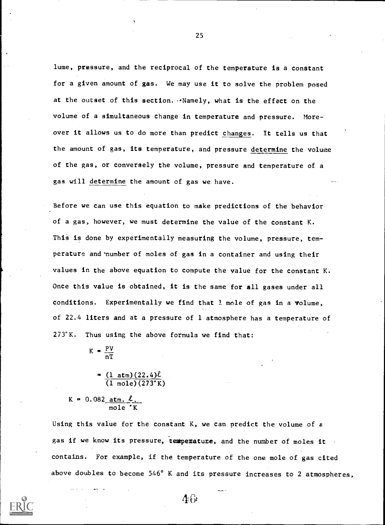lume, pressure, and the reciprocal of the temperature is a constant for a given amount of gas. We may use it to solve the problem posed at the outset of this section. Mamely, what is the effect on the volume of a simultaneous change in temperature and pressure. Moreover it allows us to do more than predict changes. It tells us that the amount of gas, its temperature, and pressure determine the volume of the gas, or conversely the volume, pressure and temperature of a gas will determine the amount of gas we have.

Before we can use this equation to make predictions of the behavior of a gas, however, we must determine the value of the constant K. This is done by experimentally measuring the volume, pressure, temperature and'number of moles of gas in a container and using their values in the above equation to compute the value for the constant K. Once this value is obtained, it is the same for all gases under all conditions. Experimentally we find that 1 mole of gas in a volume, of 22.4 liters and at a pressure of 1 atmosphere has a temperature of  $273^{\circ}$ K. Thus using the above formula we find that:

- $K = \frac{PV}{P}$ nT
	- $=(1 \text{ atm})(22.4)\ell$ (1 mole)(273°K)

 $K = 0.082$  atm.  $\ell$ . mole 'K

Using this value for the constant K, we can predict the volume of a gas if we know its pressure, temperature, and the number of moles it contains. For example, if the temperature of the one mole of gas cited above doubles to become 546° K and its pressure increases to 2 atmospheres,





 $\Lambda$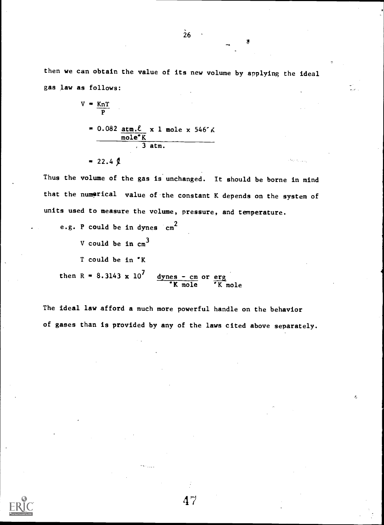then we can obtain the value of its new volume by applying the ideal gas law as follows:

$$
V = \frac{KnT}{P}
$$
\n
$$
= 0.082 \underbrace{\text{atm}.\ell}_{\text{mole}^{\circ}K} \times 1 \text{ mole} \times 546 \text{ K}
$$
\n
$$
= 22.4 \text{ J}
$$

Thus the volume of the gas is unchanged. It should be borne in mind that the numerical value of the constant K depends on the system of units used to measure the volume, pressure, and temperature.

e.g. P could be in dynes cm<sup>2</sup> V could be in  $cm<sup>3</sup>$ T could be in 'K then R =  $8.3143 \times 10^{7}$  dynes - cm or erg 'K mole 'K mole

The ideal law afford a much more powerful handle on the behavior of gases than is provided by any of the laws cited above separately.

47

×.

 $\dot{26}$ 

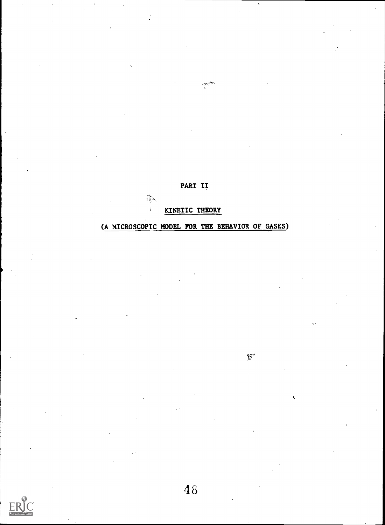PART II

 $\frac{4\pi G^2\tilde{\chi}^2}{4}$ 

KINETIC THEORY

 $\frac{1}{\sqrt{2}}$ à.

(A MICROSCOPIC MODEL FOR THE BEHAVIOR OF GASES)

₩

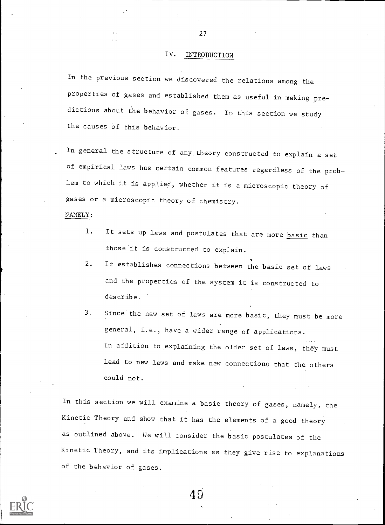## IV. INTRODUCTION

In the previous section we discovered the relations among the properties of gases and established them as useful in making predictions about the behavior of gases. In this section we study the causes of this behavior.

In general the structure of any theory constructed to explain a set of empirical laws has certain common features regardless of the problem to which it is applied, whether it is a microscopic theory of gases or a microscopic theory of chemistry.

#### NAMELY:

- 1. It sets up laws and postulates that are more **basic** than those it is constructed to explain.
- 2. It establishes connections between the basic set of laws and the properties of the system it is constructed to describe.
- 3. Since the new set of laws are more basic, they must be more general, i.e., have a wider range of applications. In addition to explaining the older set of laws, they must lead to new laws and make new connections that the others could not.

In this section we will examine a basic theory of gases, namely, the Kinetic Theory and show that it has the elements of a good theory as outlined above. We will consider the basic postulates of the Kinetic Theory, and its implications as they give rise to explanations of the behavior of gases.



27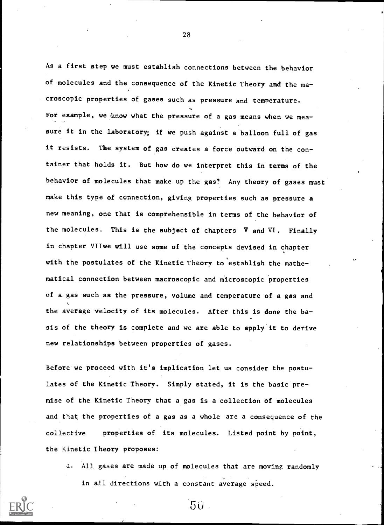As a first step we must establish connections between the behavior of molecules and the consequence of the Kinetic Theory and the macroscopic properties of gases such as pressure and temperature. For example, we know what the pressure of a gas means when we measure it in the laboratory; if we push against a balloon full of gas it resists. The system of gas creates a force outward on the con tainer that holds it. But how do we interpret this in terms of the behavior of molecules that make up the gas? Any theory of gases must make this type of connection, giving properties such as pressure a new meaning, one that is comprehensible in terms of the behavior of the molecules. This is the subject of chapters V and VI. Finally in chapter VIIwe will use some of the concepts devised in chapter with the postulates of the Kinetic Theory to establish the mathematical connection between macroscopic and microscopic properties of a gas such as the pressure, volume and temperature of a gas and the average velocity of its molecules. After this is done the basis of the theory is complete and we are able to apply'it to derive new relationships between properties of gases.

Before we proceed with it's implication let us consider the postulates of the Kinetic Theory. Simply stated, it is the basic premise of the Kinetic Theory that a gas is a collection of molecules and that the properties of a gas as a whole are a consequence of the collective properties of its molecules. Listed point by point, the Kinetic Theory proposes:

a. All gases are made up of molecules that are moving randomly in all directions with a constant average speed.

50

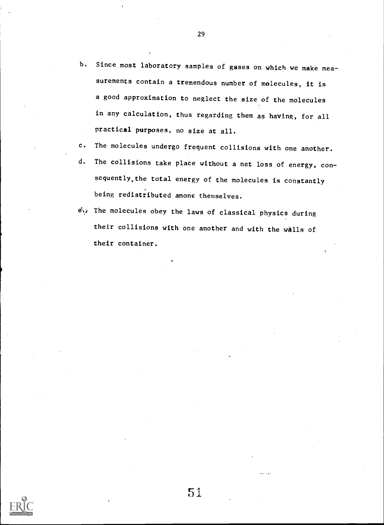- b. Since most laboratory samples of gases on which we make measurements contain a tremendous number of molecules, it is a good approximation to neglect the size of the molecules in any calculation, thus regarding them as having, for all practical purposes, no size at all.
- c. The molecules undergo frequent collisions with one another.
- d. The collisions take place without a net loss of energy, consequently,the total energy of the molecules is constantly being redistributed among themselves.
- e. The molecules obey the laws of classical physics during their collisions with one another and with the walls of their container.



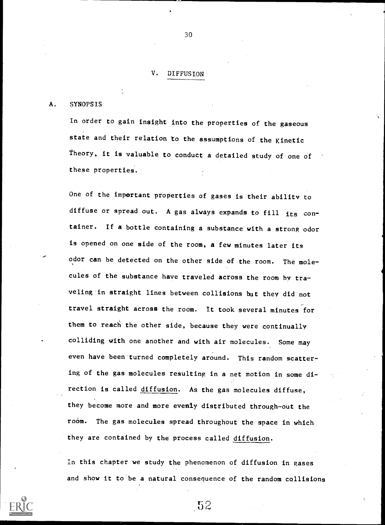## V. DIFFUSION

#### A. SYNOPSIS

In order to gain insight into the properties of the gaseous state and their relation to the assumptions of the Kinetic Theory, it is valuable to conduct a detailed study of one of these properties.

One of the important properties of gases is their ability to diffuse or spread out. A gas always expands to fill its container. If a bottle containing a substance with a strong odor is opened on one side of the room, a few minutes later its odor can be detected on the other side of the room. The molecules of the substance have traveled across the room by traveling.in straight lines between collisions but they did not travel straight across the room. It took several minutes for them to reach the other side, because they were continually colliding with one another and with air molecules. Some may even have been turned completely around. This random scattering of the gas molecules resulting in a net motion in some direction is called diffusion. As the gas molecules diffuse, they become more and more evenly distributed through-out the room. The gas molecules spread throughout the space in which they are contained by the process called diffusion.

In this chapter we study the phencmenon of diffusion in gases and show it to be a natural consequence of the random collisions

-52



30

J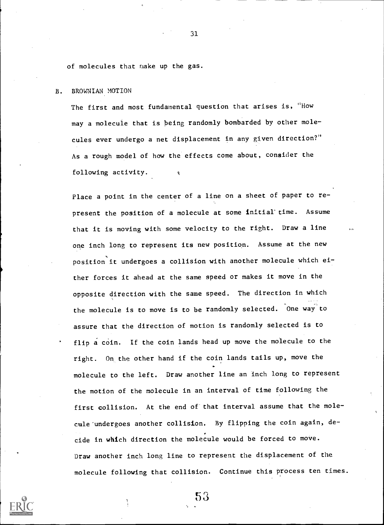of molecules that nake up the gas.

#### B. BROWNIAN MOTION

The first and most fundamental question that arises is, "How may a molecule that is being randomly bombarded by other molecules ever undergo a net displacement in any given direction?" As a rough model of how the effects come about, consider the following activity.

Place a point in the center of a line on a sheet of paper to represent the position of a molecule at some initial' time. Assume that it is moving with some velocity to the right. Draw a line one inch long to represent its new position. Assume at the new position it undergoes a collision with another molecule which either forces it ahead at the same speed or makes it move in the opposite direction with the same speed. The direction in which the molecule is to move is to be randomly selected. One way to assure that the direction of motion is randomly selected is to flip a coin. If the coin lands head up move the molecule to the right. On the other hand if the coin lands tails up, move the molecule to the left. Draw another line an inch long to represent the motion of the molecule in an interval of time following the first collision. At the end of that interval assume that the molecule'undergoes another collision. By flipping the coin again, decide in which direction the molecule would be forced to move. Draw another inch long line to represent the displacement of the molecule following that collision. Continue this process ten times.

53

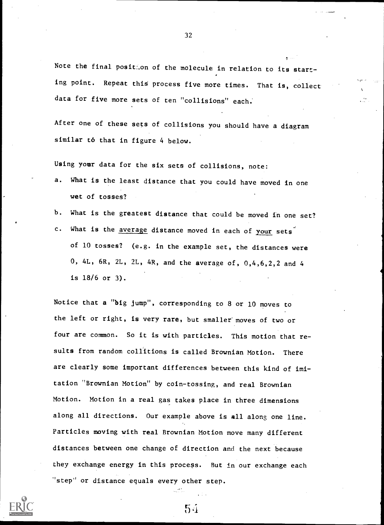Note the final position of the molecule in relation to its starting point. Repeat this process five more times. That is, collect data for five more sets of ten "collisions" each.

After one of these sets of collisions you should have a diagram similar to that in figure 4 below.

Using your data for the six sets of collisions, note:

- a. What is the least distance that you could have moved in one wet of tosses?
- b. What is the greatest distance that could be moved in one set?
- c. What is the average distance moved in each of your sets of 10 tosses? (e.g. in the example set, the distances were 0, 4L, 6R, 2L, 2L, 4R, and the average of, 0,4,6,2,2 and 4 is 18/6 or 3).

Notice that a "big jump", corresponding to 8 or 10 moves to the left or right, is very rare, but smaller' moves of two or four are common. So it is with particles. This motion that results from random collitions is called Brownian Motion. There are clearly some important differences between this kind of imitation "Brownian Motion" by coin-tossing, and real Brownian Motion. Motion in a real gas takes place in three dimensions along all directions. Our example above is all along one line. Particles moving with real Brownian Motion move many different distances between one change of direction and the next because they exchange energy in this process. But in our exchange each "step" or distance equals every other step.



32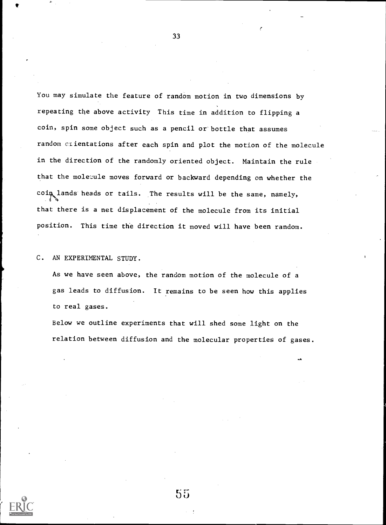You may simulate the feature of random motion in two dimensions by repeating the above activity This time in addition to flipping a coin, spin some object such as a pencil or' bottle that assumes random crientations after each spin and plot the motion of the molecule in the direction of the randomly oriented object. Maintain the rule that the molecule moves forward or backward depending on whether the coin lands heads or tails. The results will be the same, namely, that there is a net displacement of the molecule from its initial position. This time the direction it moved will have been random.

33

C. AN EXPERIMENTAL STUDY.

As we have seen above, the random motion of the molecule of a gas leads to diffusion. It remains to be seen how this applies to real gases.

Below we outline experiments that will shed some light on the relation between diffusion and the molecular properties of gases.

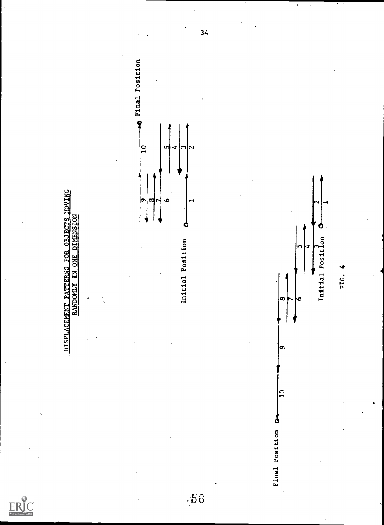



 $-56$ 

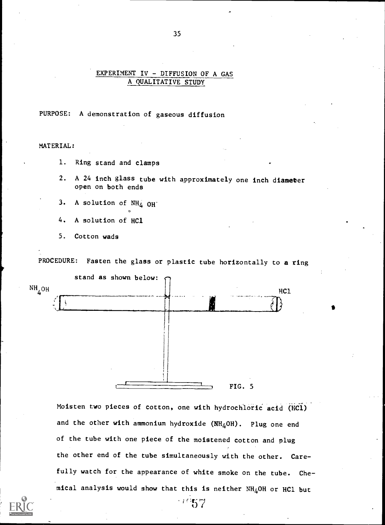## EXPERIMENT IV - DIFFUSION OF A GAS A QUALITATIVE STUDY

## PURPOSE: A demonstration of gaseous diffusion

MATERIAL:

- 1. Ring stand and clamps
- 2. A 24 inch glass tube with approximately one inch diameter open on both ends
- 3. A solution of  $NH_4$  OH
- 4. A solution of HC1
- 5. Cotton wads

PROCEDURE: Fasten the glass or plastic tube horizontally to a ring



Moisten two pieces of cotton, one with hydrochloric acid (HCl) and the other with ammonium hydroxide  $(NH_4OH)$ . Plug one end of the tube with one piece of the moistened cotton and plug the other end of the tube simultaneously with the other. Carefully watch for the appearance of white smoke on the tube. Chemical analysis would show that this is neither  $NH<sub>4</sub>OH$  or HCl but

 $57 -$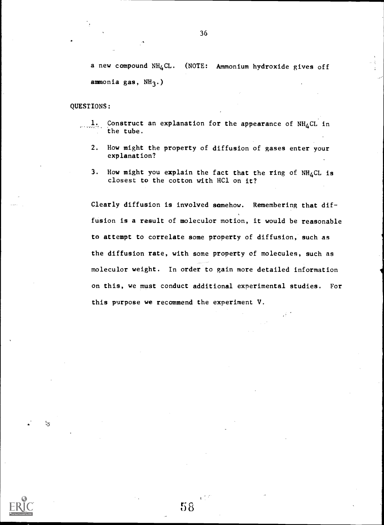a new compound  $NH_4CL$ . (NOTE: Ammonium hydroxide gives off ammonia gas,  $NH<sub>3</sub>$ .)

#### QUESTIONS:

 $\mathcal{F}_3$ 

- 1. Construct an explanation for the appearance of  $NH_4$ CL in the tube.
	- 2. How might the property of diffusion of gases enter your explanation?
	- 3. How might you explain the fact that the ring of  $NH_4$ CL is closest to the cotton with HC1 on it?

Clearly diffusion is involved somehow. Remembering that diffusion is a result of moleculor motion, it would be reasonable to attempt to correlate some property of diffusion, such as the diffusion rate, with some property of molecules, such as moleculor weight. In order to gain more detailed information on this, we must conduct additional experimental studies. For this purpose we recommend the experiment V.

 $58$ 

 $V^{\prime}$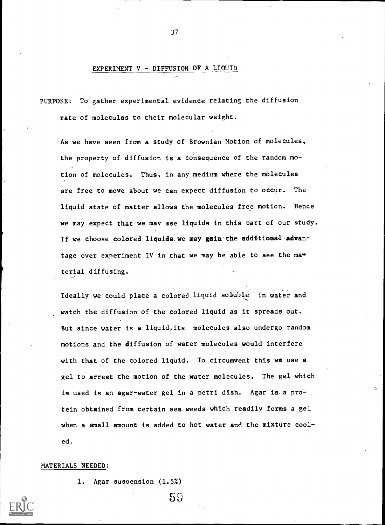## EXPERIMENT V - DIFFUSION OF A LIQUID

PURPOSE: To gather experimental evidence relating the diffusion rate of molecules to their molecular weight.

As we have seen from a study of Brownian Motion of molecules, the property of diffusion is a consequence of the random motion of molecules. Thus, in any medium where the molecules are free to move about we can expect diffusion to occur. The liquid state of matter allows the molecules free motion. Hence we may expect that we may use liquids in this part of our study. If we choose colored liquids. we may gain.the additional-advantage over experiment IV in that we may be able to see the material diffusing.

Ideally we could place a colored liquid soluble in water and watch the diffusion of the colored liquid as it spreads out. But since water is a liquid,its molecules also undergo random motions and the diffusion of water molecules would interfere with that of the colored liquid. To circumvent this we use a gel to arrest the motion of the water molecules. The gel which is used is an agar-water gel in a petri dish. Agar is a protein obtained from certain sea weeds which readily forms a gel when a small amount is added to hot water and the mixture cooled.

 $59$ 

#### MATERIALS NEEDED:

1. Agar suspension (1.5%)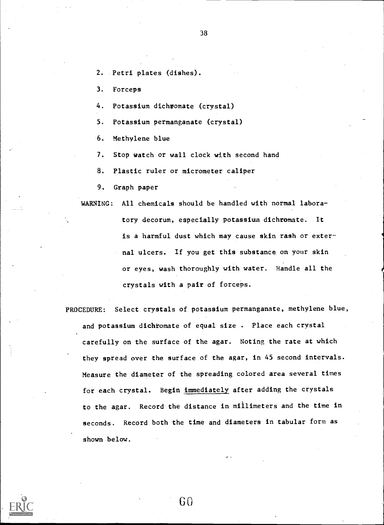- 38
- 2. Petri plates (dishes).

3. Forceps

- 4. Potassium dichromate (crystal)
- 5. Potassium permanganate (crystal)
- 6. Methylene blue
- 7. Stop watch or wall clock with second hand
- 8. Plastic ruler or micrometer caliper
- 9. Graph paper

WARNING: All chemicals should be handled with normal labora-

tory decorum, especially potassium dichromate. It is a harmful dust which may cause skin rash or external ulcers. If you get this substance on your skin or eyes, wash thoroughly with water. Handle all the crystals with a pair of forceps.

PROCEDURE: Select crystals of potassium permanganate, methylene blue, and potassium dichromate of equal size . Place each crystal carefully on the surface of the agar. Noting the rate at which they spread over the surface of the agar, in 45 second intervals. Measure the diameter of the spreading colored area several times for each crystal. Begin immediately after adding the crystals to the agar. Record the distance in millimeters and the time in seconds. Record both the time and diameters in tabular form as shown below.

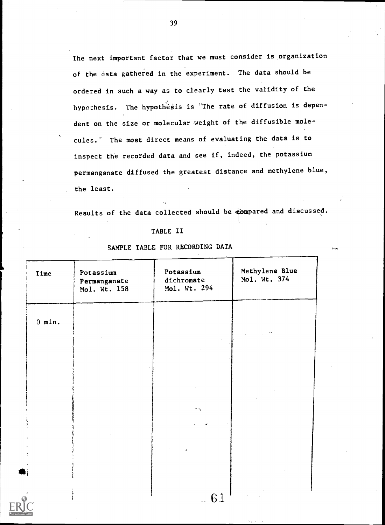The next important factor that we must consider is organization of the data gathered in the experiment. The data should be ordered in such a way as to clearly test the validity of the hypothesis. The hypothesis is "The rate of diffusion is dependent on the size or molecular weight of the diffusible mole- , cules." The most direct means of evaluating the data is to inspect the recorded data and see if, indeed, the potassium permanganate diffused the greatest distance and methylene blue, the least.

Results of the data collected should be compared and discussed.

.<br>Vite

#### TABLE II

## SAMPLE TABLE FOR RECORDING DATA

| Time     | Potassium<br>Permanganate<br>Mol. Wt. 158 | Potassium<br>dichromate<br>Mol. Wt. 294 | Methylene Blue<br>Mol. Wt. 374 |
|----------|-------------------------------------------|-----------------------------------------|--------------------------------|
| $0$ min. |                                           |                                         |                                |
|          |                                           |                                         |                                |
|          |                                           |                                         |                                |
|          |                                           | $\sigma(\sigma_{\rm q})$                |                                |
|          |                                           |                                         |                                |
|          |                                           |                                         |                                |
| $\sim$   |                                           | 61                                      |                                |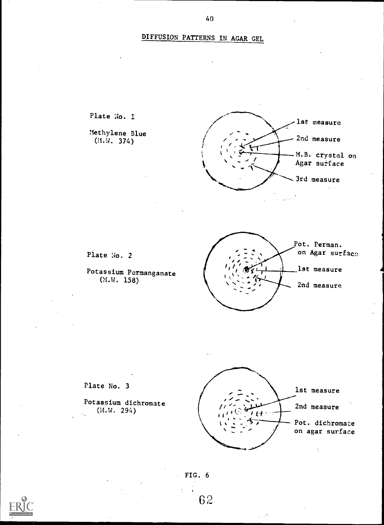# DIFFUSION PATTERNS IN AGAR GEL





Potassium dichromate (N.W. 294)



FIG. 6

6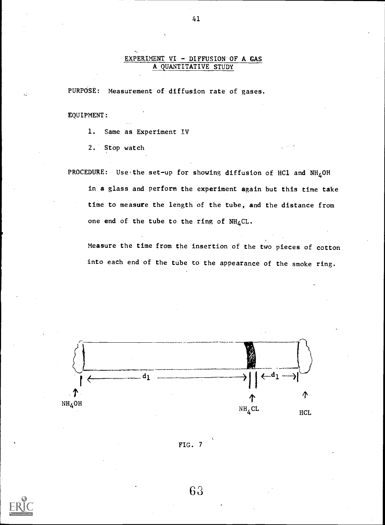## EXPERIMENT VI - DIFFUSION OF A GAS A QUANTITATIVE STUDY

PURPOSE: Measurement of diffusion rate of gases.

EQUIPMENT:

1. Same as Experiment IV

2. Stop watch

PROCEDURE: Use the set-up for showing diffusion of HC1 and  $NH_4$ OH in a glass and perform the experiment again but this time take time to measure the length of the tube, and the distance from one end of the tube to the ring of  $NH_4CL$ .

Measure the time from the insertion of the two pieces of cotton into each end of the tube to the appearance of the smoke ring.







63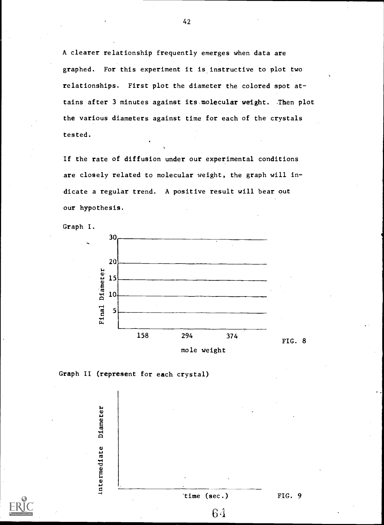A clearer relationship frequently emerges when data are graphed. For this experiment it is instructive to plot two relationships. First plot the diameter the colored spot attains after 3 minutes against its molecular weight. Then plot the various diameters against time for each of the crystals tested.

If the rate of diffusion under our experimental conditions are closely related to molecular weight, the graph will indicate a regular trend. A positive result will bear out our hypothesis.







Diameter Intermediate time (sec.) FIG. 9  $64$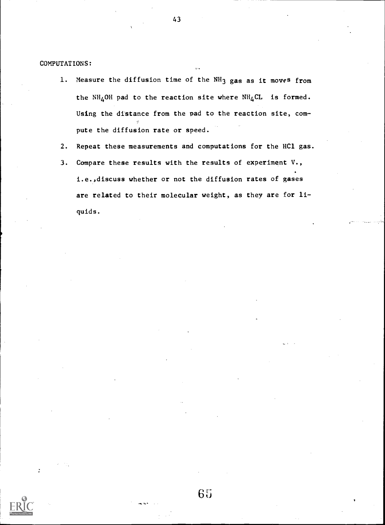COMPUTATIONS:

- 1. Measure the diffusion time of the NH<sub>3</sub> gas as it moves from the NH<sub>4</sub>OH pad to the reaction site where NH<sub>4</sub>CL is formed. Using the distance from the pad to the reaction site, compute the diffusion rate or speed.
- 2. Repeat these measurements and computations for the HC1 gas.
- 3. Compare these results with the results of experiment V., i.e.,discuss whether or not the diffusion rates of gases are related to their molecular weight, as they are for liquids.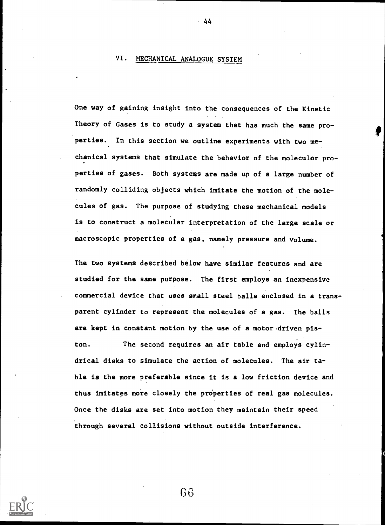## VI. MECHANICAL ANALOGUE SYSTEM

One way of gaining insight into the consequences of the Kinetic Theory of Gases is to study a system that has much the same properties. In this section we outline experiments with two mechanical systems that simulate the behavior of the moleculor properties of gases. Both systems are made up of a large number of randomly colliding objects which imitate the motion of the molecules of gas. The purpose of studying these mechanical models is to construct a molecular interpretation of the large scale or macroscopic properties of a gas, namely pressure and volume.

44

The two systems described below have similar features and are studied for the same purpose. The first employs an inexpensive commercial device that uses small steel balls enclosed in a transparent cylinder to represent the molecules of a gas. The balls are kept in constant motion by the use of a motor driven piston. The second requires an air table and employs cylindrical disks to simulate the action of molecules. The air table is the more preferable since it is a low friction device and thus imitates more closely the properties of real gas molecules. Once the disks are set into motion they maintain their speed through several collisions without outside interference.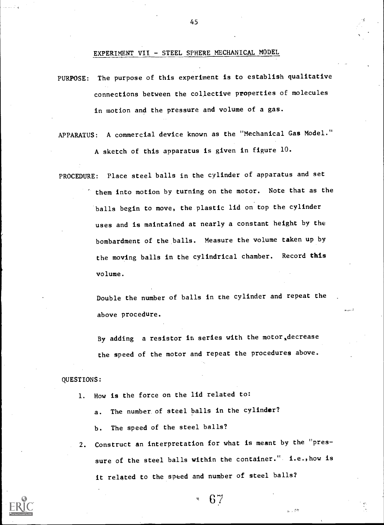EXPERIMENT VII - STEEL SPHERE MECHANICAL MODEL

- PURPOSE: The purpose of this experiment is to establish qualitative connections between the collective properties of molecules in motion and the pressure and volume of a gas.
- APPARATUS: A commercial device known as the "Mechanical Gas Model." A sketch of this apparatus is given in figure 10.
- PROCEDURE: Place steel balls in the cylinder of apparatus and set them into motion by turning on the motor. Note that as the balls begin to move, the plastic lid on top the cylinder uses and is maintained at nearly a constant height by the bombardment of the balls. Measure the volume taken up by the moving balls in the cylindrical chamber. Record this volume.

Double the number of balls in the cylinder and repeat the above procedure.

By adding a resistor in series with the motor,decrease the speed of the motor and repeat the procedures above.

### QUESTIONS:

- 1. How is the force on the lid related to:
	- a. The number of steel balls in the cylinder?
	- b. The speed of the steel balls?
- 2. Construct an interpretation for what is meant by the "pressure of the steel balls within the container." i.e., how is it related to the speed and number of steel balls?

 $6\frac{1}{2}$ 

بعقول

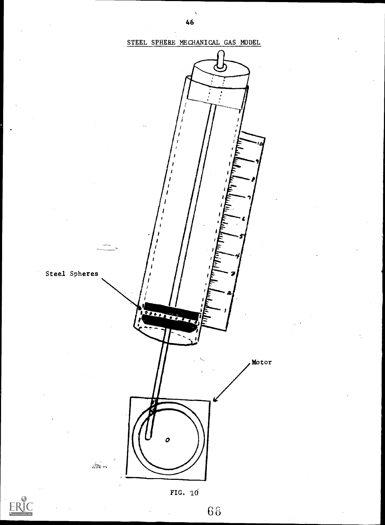

 $6\,$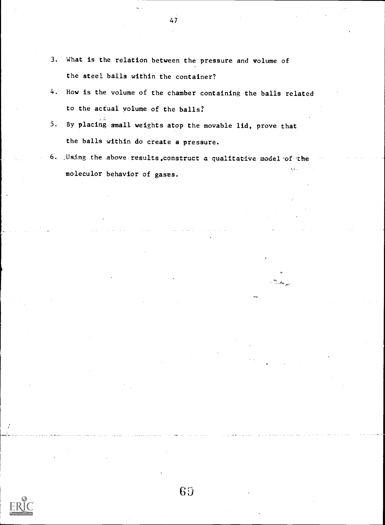- 3. What is the relation between the pressure and volume of the steel balls within the container?
- 4. How is the volume of the chamber containing the balls related to the actual volume of the balls?
- 5. By placing small weights atop the movable lid, prove that the balls within do create a pressure.
- 6. Using the above results, construct a qualitative model of the  $\hat{\theta}_{\rm{max}}$ moleculor behavior of gases.

47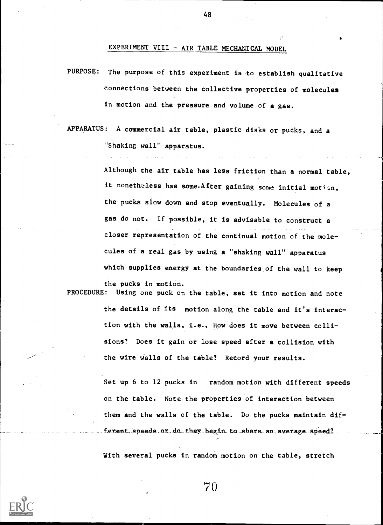EXPERIMENT VIII - AIR TABLE MECHANICAL MODEL

PURPOSE: The purpose of this experiment is to establish qualitative connections between the collective properties of molecules in motion and the pressure and volume of a gas.

APPARATUS: A commercial air table, plastic disks or pucks, and a "Shaking wall" apparatus.

Although the air table has less friction than a normal table, it nonethaless has some. After gaining some initial motion, the pucks slow down and stop eventually. Molecules of a gas do not. If possible, it is advisable to construct <sup>a</sup> closer representation of the continual motion of the molecules of a real gas by using a "shaking wall" apparatus which supplies energy at the boundaries of the wall to keep

the pucks in motion.

PROCEDURE: Using one puck on the table, set it into motion and note the details of its motion along the table and it's interaction with the walls, i.e., How does it move between collisions? Does it gain or lose speed after a collision with the wire walls of the table? Record your results.

> Set up 6 to 12 pucks in random motion with different speeds on the table. Note the properties of interaction between them and the walls of the table. Do the pucks maintain different speeds or do they begin to share an average speed?

With several pucks in random motion on the table, stretch



 $70$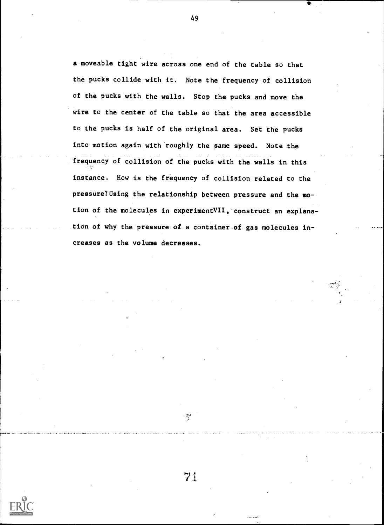a moveable tight wire across one end of the table so that the pucks collide with it. Note the frequency of collision of the pucks with the walls. Stop the pucks and move the wire to the center of the table so that the area accessible to the pucks is half of the original area. Set the pucks into motion again with roughly the same speed. Note the frequency of collision of the pucks with the walls in this instance. How is the frequency of collision related to the pressure? Using the relationship between pressure and the motion of the molecules in experimentVII, construct an explanation of why the pressure of-a container-of gas molecules increases as the volume decreases.

 $\frac{1}{2}$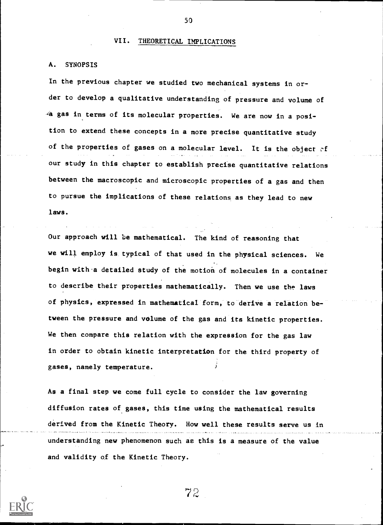## VII. THEORETICAL IMPLICATIONS

## A. SYNOPSIS

In the previous chapter we studied two mechanical systems in order to develop a qualitative understanding of pressure and volume of 4a gas in terms of its molecular properties. We are now in a position to extend these concepts in a more precise quantitative study of the properties of gases on a molecular level. It is the object  $\circ$ f our study in this chapter to establish precise quantitative relations between the macroscopic and microscopic properties of a gas and then to pursue the implications of these relations as they lead to new laws.

Our approach will be mathematical. The kind of reasoning that we will employ is typical of that used in the physical sciences. We begin with a detailed study of the motion of molecules in a container to describe their properties mathematically. Then we use the laws of physics, expressed in mathematical form, to derivea relation between the pressure and volume of the gas and its kinetic properties. We then compare this relation with the expression for the gas law in order to obtain kinetic interpretation for the third property of gases, namely temperature.

As a final step we come full cycle to consider the law governing diffusion rates of gases, this time using the mathematical results derived from the Kinetic Theory. How well these results serve us in understanding new phenomenon such as this is a measure of the value and validity of the Kinetic Theory.

 $72$ 

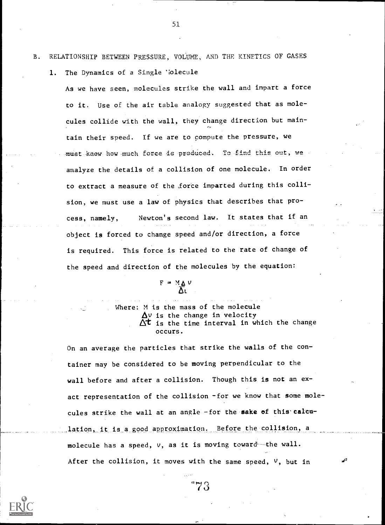- B. RELATIONSHIP BETWEEN PRESSURE, VOLUME, AND THE KINETICS OF GASES
	- 1. The Dynamics of a Single 'iolecule

As we have seen, molecules strike the wall and impart a force to it. Use of the air table analogy suggested that as molecules collide with the wall, they change direction but maintain their speed. If we are to compute the pressure, we must knew how much force is produced. To find this out, we analyze the details of a collision of one molecule. In order to extract a measure of the force imparted during this collision, we must use a law of physics that describes that process, namely, Newton's second law. It states that if an object is forced to change speed and/or direction, a force is required. This force is related to the rate of change of the speed and direction of the molecules by the equation:

 $F = M_{\Delta} v$ 

Where: M is the mass of the molecule  $\Delta v$  is the change in velocity  $\Delta t$  is the time interval in which the change occurs.

On an average the particles that strike the walls of the container may be considered to be moving perpendicular to the wall before and after a collision. Though this is not an exact representation of the collision -for we know that some molecules strike the wall at an angle -for the sake of this calculation, it is a good approximation. Before the collision, a molecule has a speed,  $v$ , as it is moving toward--the wall. After the collision, it moves with the same speed,  $V$ , but in

 $\sim$ 

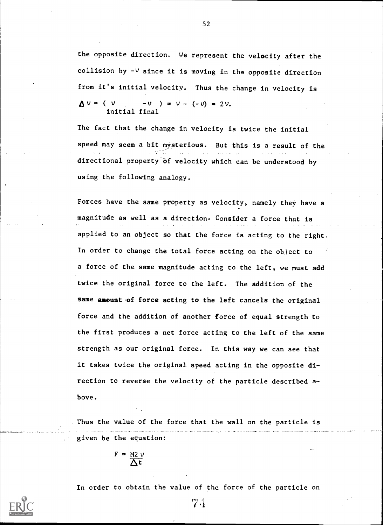the opposite direction. We represent the velocity after the collision by  $-\nu$  since it is moving in the opposite direction from it's initial velocity. Thus the change in velocity is  $\Delta v = (v - v) = v - (-v) = 2v$ . initial final

The fact that the change in velocity is twice the initial speed may seem a bit mysterious. But this is a result of the directional property of velocity which can be understood by using the following analogy.

Forces have the same property as velocity, namely they have a magnitude as well as a direction. Consider a force that is applied to an object so that the force is acting to the right. In order to change the total force acting on the object to a force of the same magnitude acting to the left, we must add twice the original force to the left. The addition of the same amount of force acting to the left cancels the original force and the addition of another force of equal strength to the first produces a net force acting to the left of the same strength as our original force. In this way we can see that it takes twice the original speed acting in the opposite direction to reverse the velocity of the particle described above.

Thus the value of the force that the wall on the particle is given be the equation:

 $F = M2V$ At

In order to obtain the value of the force of the particle on



52

7.1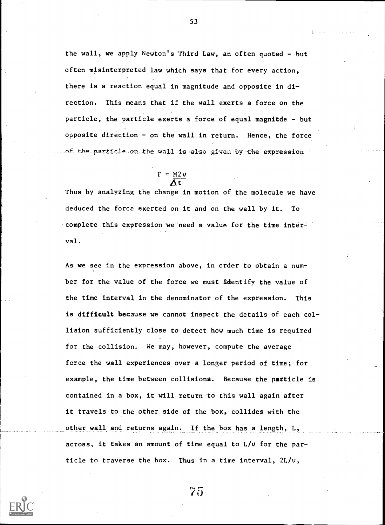the wall, we apply Newton's Third Law, an often quoted - but often misinterpreted law which says that for every action, there is a reaction equal in magnitude and opposite in direction. This means that if the wall exerts a force on the particle, the particle exerts a force of equal magnitde - but opposite direction - on .the wall in return. Hence, the force of the particle on the wall is also given by the expression

53

# $F = \frac{M2V}{\Lambda t}$

Thus by analyzing the change in motion of the molecule we have deduced the force exerted on it and on the wall by it. To complete this expression we-need a value for the time interval.

As we see in the expression above, in order to obtain a number for the value of the force we must identify the value of the time interval in the denominator of the expression. This is difficult because we cannot inspect the details of each collision sufficiently close to detect how much time is required for the collision. We may, however, compute the average force the wall experiences over a longer period of time; for example, the time between collisions. Because the particle is contained in a box, it will return to this wall again after it travels to the other side of the box, collides with the other wall and returns again. If the box has a length, L, across, it takes an amount of time equal to L/v for the particle to traverse the box. Thus in a time interval,  $2L/v$ ,

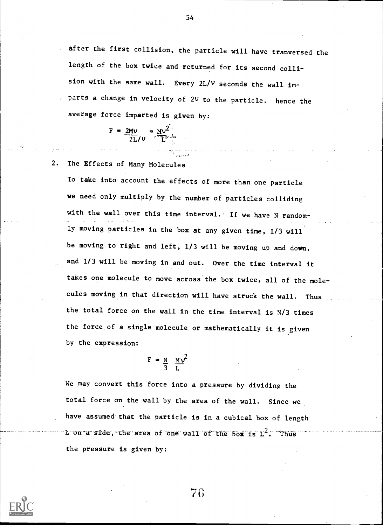after the first collision, the particle will have tranversed the length of the box twice and returned for its second collision with the same wall. Every 2L/v seconds the wall im- , parts a change in velocity of 2V to the particle. hence the average force imparted is given by:

> $F = 2Mv = Mv^2$  $2L/V$   $L^{2}$

2. The Effects of Many Molecules

To take into account the effects of more than one particle we need only multiply by the number of particles colliding with the wall over this time interval. If we have N randomly moving particles in the box at any given time, 1/3 will be moving to right and left, 1/3 will be moving up and down, and 1/3 will be moving in and out. Over the time interval it takes one molecule to move across the box twice, all of the molecules moving in that direction will have struck the wall. Thus the total force on the wall in the time interval is N/3 times the force of a single molecule or mathematically it is given by the expression:

> $F = N \quad MV$ 3 L

We may convert this force into a pressure by dividing the total force on the wall by the area of the wall. Since we have assumed that the particle is in a cubical box of length b-on-a-side, the area of one wall of the box is  $L^2$ . Thus the pressure is given by:



54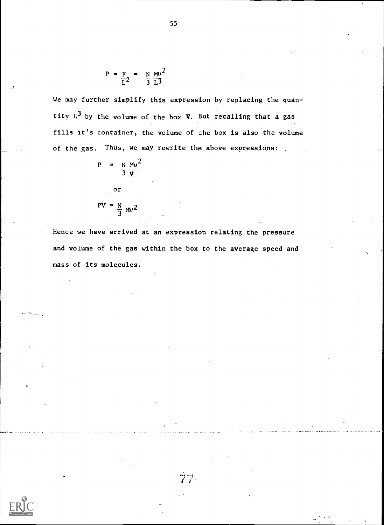$$
P = \frac{F}{L^2} = \frac{N}{3} \frac{MV^2}{L^3}
$$

We may further simplify this expression by replacing the quantity  $L^3$  by the volume of the box  $V$ . But recalling that a gas fills it's container, the volume of the box is also the volume of the gas. Thus, we may rewrite the above expressions:

$$
P = \frac{N}{3} \frac{Mv^2}{V}
$$

$$
PV = \frac{N}{3} \, \text{M}^2
$$

or

Hence we have arrived at an expression relating the pressure and volume of the gas within the box to the average speed and mass of its molecules.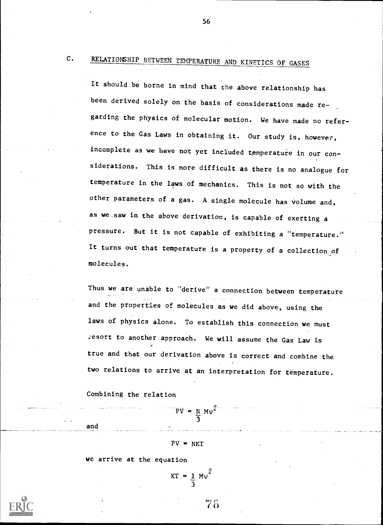# C. RELATIONSHIP BETWEEN TEMPERATURE AND KINETICS OF GASES

It should be borne in mind that the above relationship has been derived solely on the basis of considerations made re garding the physics of molecular motion. We have made no reference to the Gas Laws in obtaining it. Our study is, however, incomplete as we have not yet included temperature in our considerations. This is more difficult as there is no analogue for temperature in the laws of mechanics. This is not so with the other parameters of a gas. A single molecule has volume and, as we.saw in the above derivation, is capable of exerting <sup>a</sup> pressure. But it is not capable of exhibiting a "temperature." It turns out that temperature is a property of a collection, of molecules.

Thus we are unable to "derive" a connection between temperature and the properties of molecules as we did above, using the laws of physics alone. To establish this connection we must resort to another approach. We will assume the Gas Law is true and that our derivation above is correct and combine the two relations to arrive at an interpretation for temperature.

Combining the relation

and

 $PV = N Mv^2$ 3

#### $PV = NKT$

we arrive at the equation

$$
KT = \frac{1}{3} M v^2
$$

7 8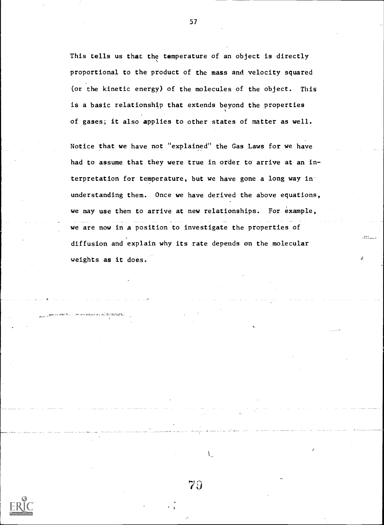This tells us that the temperature of an object is directly proportional to the product of the mass and velocity squared (or the kinetic energy) of the molecules of the object. This is a basic relationship that extends beyond the properties of gases; it also applies to other states of matter as well.

Notice that we have not "explained" the Gas Laws for we have had to assume that they were true in order to arrive at an interpretation for temperature, but we have gone a long way in understanding them. Once we have derived the above equations, we may use them to arrive at new relationships. For example, we are now in a position to investigate the properties of diffusion and explain why its rate depends on the molecular weights as it does.

79

 $\mathbf{L}$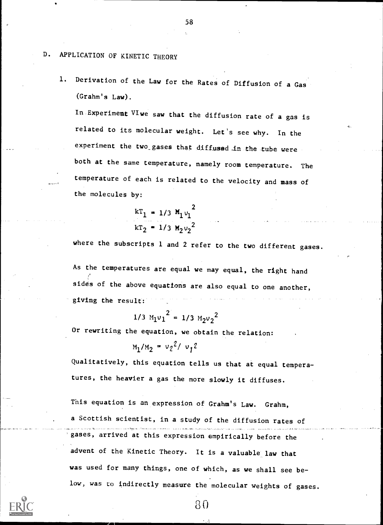### D. APPLICATION OF KINETIC THEORY

1. Derivation of the Law for the Rates of Diffusion of a Gas (Grahm's Law).

In. Experiment VI we saw that the diffusion rate of a gas is related to its molecular weight. Let's see why. In the experiment the two\_ gases that diffused in the tube were both at the same temperature, namely room temperature. The temperature of each is related to the velocity and mass of the molecules by:

$$
kT_1 = 1/3 M_1 v_1^2
$$
  

$$
kT_2 = 1/3 M_2 v_2^2
$$

where the subscripts 1 and 2 refer to the two different gases.

As the temperatures are equal we may equal, the right hand sides of the above equations are also equal to one another, giving the result:

$$
1/3 M_1v_1^2 = 1/3 M_2v_2^2
$$

Or rewriting the equation, we obtain the relation:

 $M_1 / M_2 = v_2^2 / v_1^2$ 

Qualitatively, this equation tells us that at equal temperatures, the heavier a gas the more slowly it diffuses.

This equation is an expression of Grahm's Law. Grahm, a Scottish scientist, in a study of the diffusion rates of gases, arrived at this expression empirically before the advent of the Kinetic Theory. It is a valuable law that was used for many things, one of which, as we shall see below, was to indirectly measure the molecular weights of gases.



8t)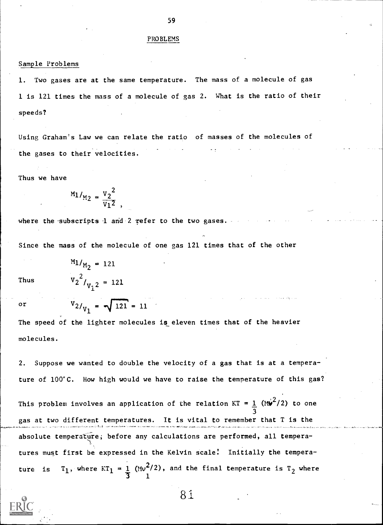#### PROBLEMS

#### Sample Problems

Two gases are at the same temperature. The mass of a molecule of gas 1 is 121 times the mass of a molecule of gas 2. What is the ratio of their speeds?

Using Graham's Law we can relate the ratio of masses of the molecules of the gases to their velocities.

Thus we have

 $v_2^2$ 

where the subscripts  $1$  and  $2$  refer to the two gases.

Since the mass of the molecule of one gas 121 times that of the other

Thus

 $v<sub>1</sub>$ <sup>2</sup>,  $v<sub>2</sub>$  $'2$   $/_{V_2}$   $2 = 121$ 

 $M_1/_{M_2} = 121$ 

or  $V_{2/_{V_1}} = \sqrt{121} = 11$ The speed of the lighter molecules is eleven times that of the heavier

molecules.

2. Suppose we wanted to double the velocity of a gas that is at a temperature of 100°C. How high would we have to raise the temperature of this gas?

This problem involves an application of the relation  $KT = 1$  (M $\blacktriangleright$   $(2)$  to one 3 gas at two different temperatures. It is vital to remember that T absolute temperature; before any calculations are performed, all temperatures must first be expressed in the Kelvin scale! Initially the temperature is  $T_1$ , where  $KT_1 = 1$  (Mv<sup>2</sup>/2), and the final temperature is  $T_2$  where 1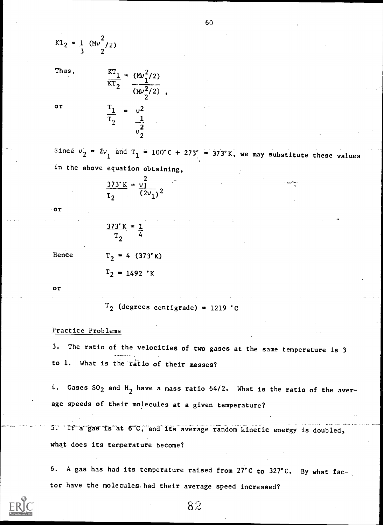$$
KT_2 = \frac{1}{3} (Mv^2/2)
$$

Thus,

or

 $\frac{KT_1}{T} = (Mv_1^2/2)$  $\frac{1}{(Mv_2^2/2)}$ ,  $\frac{T_1}{T_2}$  =  $v^2$  $T_2 = \frac{1}{2}$ 2

2

Since  $v_2 = 2v_1$  and  $T_1 = 100^{\circ}C + 273^{\circ} = 373^{\circ}K$ , we may substitute these values in the above equation obtaining,

$$
\frac{373 \text{ K}}{\text{T}_2} = \frac{v_1^2}{(2v_1)^2}
$$

or

$$
\frac{373 \text{ K}}{T_2} = \frac{1}{4}
$$

Hence

$$
T_2 = 1492 \cdot K
$$

 $T_2$  = 4 (373°K)

or

 $T_2$  (degrees centigrade) = 1219 °C

#### Practice Problems

3. The ratio of the velocities of two gases at the same temperature is 3 to 1. What is the "ratio of their masses?

4. Gases  $SO_2$  and  $H_2$  have a mass ratio 64/2. What is the ratio of the average speeds of their molecules at a given temperature?

5. If a gas is at 6°C, and its average random kinetic energy is doubled, what does its temperature become?

6. A gas has had its temperature raised from 27'C to 327'C. By what factor have the molecules. had their average speed increased?



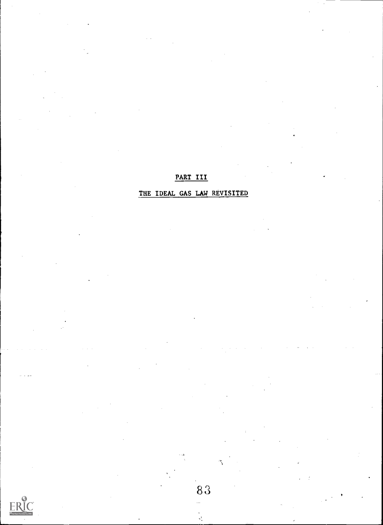## PART III

# THE IDEAL GAS LAW REVISITED



83

ΥÎ,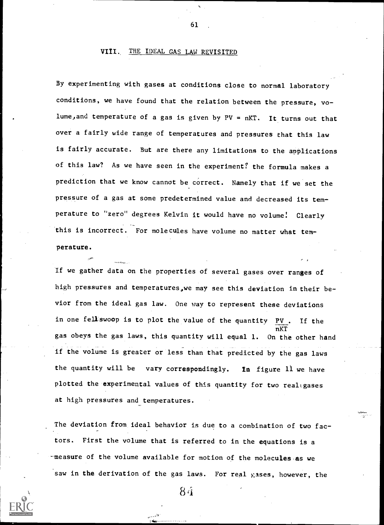#### VIII. THE IDEAL GAS LAW REVISITED

By experimenting with gases at conditions close to normal laboratory conditions, we have found that the relation between the pressure, volume, and temperature of a gas is given by  $PV = nKT$ . It turns out that over a fairly wide range of temperatures and pressures that this law is fairly accurate. But are there any limitations to the applications of this law? As we have seen in the experiment? the formula makes <sup>a</sup> prediction that we know cannot be correct. Namely that if we set the pressure of a gas at some predetermined value and decreased its temperature to "zero" degrees Kelvin it would have no volume! Clearly this is incorrect. For molecules have volume no matter what temperature.

If we gather data on the properties of several gases over ranges of high pressures and temperatures,we may see this deviation in their bevior from the ideal gas law. One way to represent these deviations in one fell swoop is to plot the value of the quantity  $PV$ . If the nKT gas obeys the gas laws, this quantity will equal 1. On the other hand if the volume is greater or less than that predicted by the gas laws the quantity will be vary correspondingly. In figure 11 we have plotted the experimental values of this quantity for two realigases at high pressures and temperatures.

The deviation from ideal behavior is due to a combination of two factors. First the volume that is referred to in the equations is a -measure of the volume available for motion of the molecules as we saw in the derivation of the gas laws. For real gases, however, the

8 ti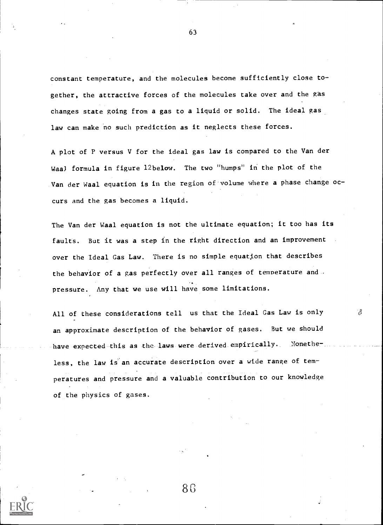constant temperature, and the molecules become sufficiently close to gether, the attractive forces of the molecules take over and the gas changes state going from a gas to a liquid or solid. The ideal gas law can make no such prediction as it neglects these forces.

A plot of P versus V for the ideal gas law is compared to the Van der Waal formula in figure 12below. The two "humps" in the plot of the Van der Waal equation is in the region of volume where a phase change occurs and the gas becomes a liquid.

The Van der Waal equation is not the ultimate equation; it too has its faults. But it was a step in the right direction and an improvement over the Ideal Gas Law. There is no simple equation that describes the behavior of a gas perfectly over all ranges of temperature and , pressure. Any that we use will have some limitations.

All of these considerations tell us that the Ideal Gas Law is only  $\mathbb{R}$ an approximate description of the behavior of gases. But we should have expected this as the laws were derived empirically. Nonetheless, the law is an accurate description over a wide range of temperatures and pressure and a valuable contribution to our knowledge of the physics of gases.

8G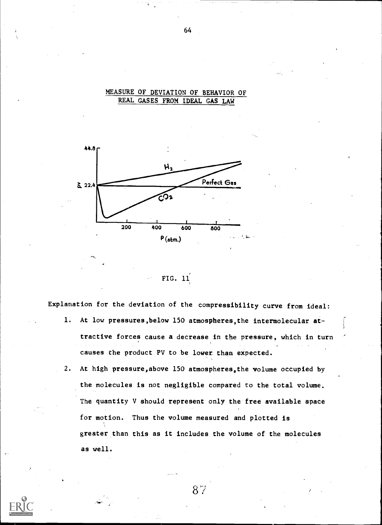#### MEASURE OF DEVIATION OF BEHAVIOR OF REAL GASES FROM IDEAL GAS LAW



FIG. 11

Explanation for the deviation of the compressibility curve from ideal:

- 1. At low pressures,below 150 atmospheres,the intermolecular attractive forces cause a decrease in the pressure, which in turn causes the product PV to be lower than expected.
- 2. At high pressure,above 150 atmospheres,the volume occupied by the molecules is not negligible compared to the total volume. The quantity V should represent only the free available space for motion. Thus the volume measured and plotted is greater than this as it includes the volume of the molecules as well.

 $8\%$